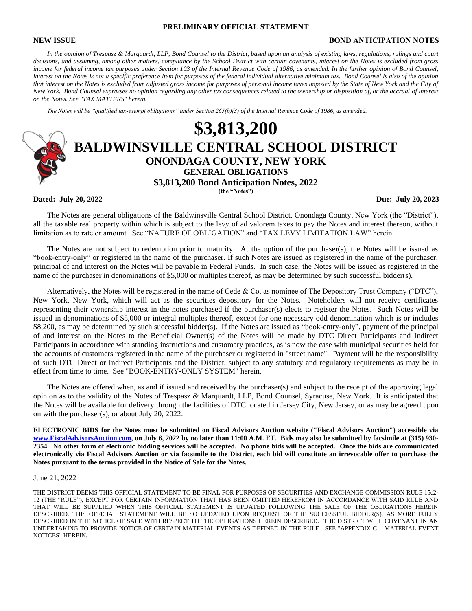# **PRELIMINARY OFFICIAL STATEMENT**

### **NEW ISSUE BOND ANTICIPATION NOTES**

*In the opinion of Trespasz & Marquardt, LLP, Bond Counsel to the District, based upon an analysis of existing laws, regulations, rulings and court decisions, and assuming, among other matters, compliance by the School District with certain covenants, interest on the Notes is excluded from gross income for federal income tax purposes under Section 103 of the Internal Revenue Code of 1986, as amended. In the further opinion of Bond Counsel, interest on the Notes is not a specific preference item for purposes of the federal individual alternative minimum tax. Bond Counsel is also of the opinion that interest on the Notes is excluded from adjusted gross income for purposes of personal income taxes imposed by the State of New York and the City of New York. Bond Counsel expresses no opinion regarding any other tax consequences related to the ownership or disposition of, or the accrual of interest on the Notes. See "TAX MATTERS" herein.*

*The Notes will be "qualified tax-exempt obligations" under Section 265(b)(3) of the Internal Revenue Code of 1986, as amended.*



**Dated: July 20, 2022 Due: July 20, 2023**

The Notes are general obligations of the Baldwinsville Central School District, Onondaga County, New York (the "District"), all the taxable real property within which is subject to the levy of ad valorem taxes to pay the Notes and interest thereon, without limitation as to rate or amount. See "NATURE OF OBLIGATION" and "TAX LEVY LIMITATION LAW" herein.

The Notes are not subject to redemption prior to maturity. At the option of the purchaser(s), the Notes will be issued as "book-entry-only" or registered in the name of the purchaser. If such Notes are issued as registered in the name of the purchaser, principal of and interest on the Notes will be payable in Federal Funds. In such case, the Notes will be issued as registered in the name of the purchaser in denominations of \$5,000 or multiples thereof, as may be determined by such successful bidder(s).

Alternatively, the Notes will be registered in the name of Cede & Co. as nominee of The Depository Trust Company ("DTC"), New York, New York, which will act as the securities depository for the Notes. Noteholders will not receive certificates representing their ownership interest in the notes purchased if the purchaser(s) elects to register the Notes. Such Notes will be issued in denominations of \$5,000 or integral multiples thereof, except for one necessary odd denomination which is or includes \$8,200, as may be determined by such successful bidder(s). If the Notes are issued as "book-entry-only", payment of the principal of and interest on the Notes to the Beneficial Owner(s) of the Notes will be made by DTC Direct Participants and Indirect Participants in accordance with standing instructions and customary practices, as is now the case with municipal securities held for the accounts of customers registered in the name of the purchaser or registered in "street name". Payment will be the responsibility of such DTC Direct or Indirect Participants and the District, subject to any statutory and regulatory requirements as may be in effect from time to time. See "BOOK-ENTRY-ONLY SYSTEM" herein.

The Notes are offered when, as and if issued and received by the purchaser(s) and subject to the receipt of the approving legal opinion as to the validity of the Notes of Trespasz & Marquardt, LLP, Bond Counsel, Syracuse, New York. It is anticipated that the Notes will be available for delivery through the facilities of DTC located in Jersey City, New Jersey, or as may be agreed upon on with the purchaser(s), or about July 20, 2022.

**ELECTRONIC BIDS for the Notes must be submitted on Fiscal Advisors Auction website ("Fiscal Advisors Auction") accessible via [www.FiscalAdvisorsAuction.com,](http://www.fiscaladvisorsauction.com/) on July 6, 2022 by no later than 11:00 A.M. ET. Bids may also be submitted by facsimile at (315) 930- 2354. No other form of electronic bidding services will be accepted. No phone bids will be accepted. Once the bids are communicated electronically via Fiscal Advisors Auction or via facsimile to the District, each bid will constitute an irrevocable offer to purchase the Notes pursuant to the terms provided in the Notice of Sale for the Notes.**

#### June 21, 2022

THE DISTRICT DEEMS THIS OFFICIAL STATEMENT TO BE FINAL FOR PURPOSES OF SECURITIES AND EXCHANGE COMMISSION RULE 15c2- 12 (THE "RULE"), EXCEPT FOR CERTAIN INFORMATION THAT HAS BEEN OMITTED HEREFROM IN ACCORDANCE WITH SAID RULE AND THAT WILL BE SUPPLIED WHEN THIS OFFICIAL STATEMENT IS UPDATED FOLLOWING THE SALE OF THE OBLIGATIONS HEREIN DESCRIBED. THIS OFFICIAL STATEMENT WILL BE SO UPDATED UPON REQUEST OF THE SUCCESSFUL BIDDER(S), AS MORE FULLY DESCRIBED IN THE NOTICE OF SALE WITH RESPECT TO THE OBLIGATIONS HEREIN DESCRIBED. THE DISTRICT WILL COVENANT IN AN UNDERTAKING TO PROVIDE NOTICE OF CERTAIN MATERIAL EVENTS AS DEFINED IN THE RULE. SEE "APPENDIX C – MATERIAL EVENT NOTICES" HEREIN.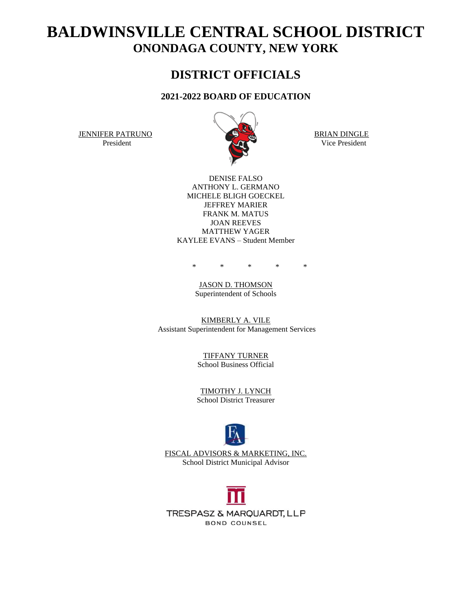# **BALDWINSVILLE CENTRAL SCHOOL DISTRICT ONONDAGA COUNTY, NEW YORK**

# **DISTRICT OFFICIALS**

# **2021-2022 BOARD OF EDUCATION**

JENNIFER PATRUNO BRIAN DINGLE



President Vice President Vice President

DENISE FALSO ANTHONY L. GERMANO MICHELE BLIGH GOECKEL JEFFREY MARIER FRANK M. MATUS JOAN REEVES MATTHEW YAGER KAYLEE EVANS – Student Member

\* \* \* \* \*

JASON D. THOMSON Superintendent of Schools

KIMBERLY A. VILE Assistant Superintendent for Management Services

> TIFFANY TURNER School Business Official

> TIMOTHY J. LYNCH School District Treasurer



FISCAL ADVISORS & MARKETING, INC. School District Municipal Advisor

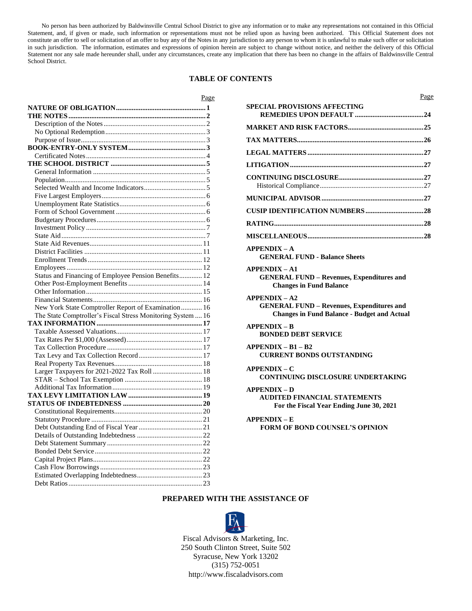No person has been authorized by Baldwinsville Central School District to give any information or to make any representations not contained in this Official Statement, and, if given or made, such information or representations must not be relied upon as having been authorized. This Official Statement does not constitute an offer to sell or solicitation of an offer to buy any of the Notes in any jurisdiction to any person to whom it is unlawful to make such offer or solicitation in such jurisdiction. The information, estimates and expressions of opinion herein are subject to change without notice, and neither the delivery of this Official Statement nor any sale made hereunder shall, under any circumstances, create any implication that there has been no change in the affairs of Baldwinsville Central School District.

# **TABLE OF CONTENTS**

| Page                                                        |
|-------------------------------------------------------------|
|                                                             |
|                                                             |
|                                                             |
|                                                             |
|                                                             |
|                                                             |
|                                                             |
|                                                             |
|                                                             |
|                                                             |
|                                                             |
|                                                             |
|                                                             |
|                                                             |
|                                                             |
|                                                             |
|                                                             |
|                                                             |
|                                                             |
|                                                             |
|                                                             |
| Status and Financing of Employee Pension Benefits 12        |
|                                                             |
|                                                             |
|                                                             |
| New York State Comptroller Report of Examination 16         |
| The State Comptroller's Fiscal Stress Monitoring System  16 |
|                                                             |
|                                                             |
|                                                             |
|                                                             |
|                                                             |
|                                                             |
| Larger Taxpayers for 2021-2022 Tax Roll  18                 |
|                                                             |
|                                                             |
|                                                             |
|                                                             |
|                                                             |
|                                                             |
|                                                             |
|                                                             |
|                                                             |
|                                                             |
|                                                             |
|                                                             |
|                                                             |
|                                                             |
|                                                             |

| Page                                                                                                                      |
|---------------------------------------------------------------------------------------------------------------------------|
| <b>SPECIAL PROVISIONS AFFECTING</b>                                                                                       |
|                                                                                                                           |
|                                                                                                                           |
|                                                                                                                           |
|                                                                                                                           |
|                                                                                                                           |
|                                                                                                                           |
|                                                                                                                           |
|                                                                                                                           |
|                                                                                                                           |
| <b>APPENDIX - A</b><br><b>GENERAL FUND - Balance Sheets</b>                                                               |
| <b>APPENDIX - A1</b><br><b>GENERAL FUND - Revenues, Expenditures and</b><br><b>Changes in Fund Balance</b>                |
| $APPENDIX - A2$<br><b>GENERAL FUND - Revenues, Expenditures and</b><br><b>Changes in Fund Balance - Budget and Actual</b> |
| $APPENDIX - B$<br><b>BONDED DEBT SERVICE</b>                                                                              |
| $APPENDIX - B1 - B2$<br><b>CURRENT BONDS OUTSTANDING</b>                                                                  |
| <b>APPENDIX – C</b><br>CONTINUING DISCLOSURE UNDERTAKING                                                                  |
| $APPENDIX - D$<br><b>AUDITED FINANCIAL STATEMENTS</b><br>For the Fiscal Year Ending June 30, 2021                         |
| $APPENDIX - E$<br><b>FORM OF BOND COUNSEL'S OPINION</b>                                                                   |
|                                                                                                                           |
|                                                                                                                           |

# **PREPARED WITH THE ASSISTANCE OF**



Fiscal Advisors & Marketing, Inc. 250 South Clinton Street, Suite 502 Syracuse, New York 13202 (315) 752-0051 http://www.fiscaladvisors.com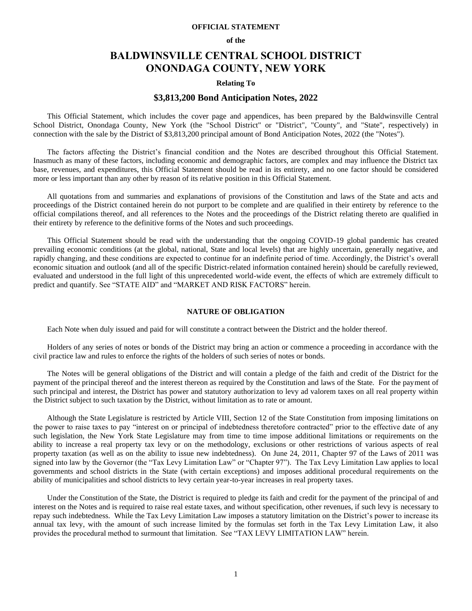# **OFFICIAL STATEMENT**

#### **of the**

# **BALDWINSVILLE CENTRAL SCHOOL DISTRICT ONONDAGA COUNTY, NEW YORK**

# **Relating To**

# **\$3,813,200 Bond Anticipation Notes, 2022**

This Official Statement, which includes the cover page and appendices, has been prepared by the Baldwinsville Central School District, Onondaga County, New York (the "School District" or "District", "County", and "State", respectively) in connection with the sale by the District of \$3,813,200 principal amount of Bond Anticipation Notes, 2022 (the "Notes").

The factors affecting the District's financial condition and the Notes are described throughout this Official Statement. Inasmuch as many of these factors, including economic and demographic factors, are complex and may influence the District tax base, revenues, and expenditures, this Official Statement should be read in its entirety, and no one factor should be considered more or less important than any other by reason of its relative position in this Official Statement.

All quotations from and summaries and explanations of provisions of the Constitution and laws of the State and acts and proceedings of the District contained herein do not purport to be complete and are qualified in their entirety by reference to the official compilations thereof, and all references to the Notes and the proceedings of the District relating thereto are qualified in their entirety by reference to the definitive forms of the Notes and such proceedings.

This Official Statement should be read with the understanding that the ongoing COVID-19 global pandemic has created prevailing economic conditions (at the global, national, State and local levels) that are highly uncertain, generally negative, and rapidly changing, and these conditions are expected to continue for an indefinite period of time. Accordingly, the District's overall economic situation and outlook (and all of the specific District-related information contained herein) should be carefully reviewed, evaluated and understood in the full light of this unprecedented world-wide event, the effects of which are extremely difficult to predict and quantify. See "STATE AID" and "MARKET AND RISK FACTORS" herein.

# **NATURE OF OBLIGATION**

Each Note when duly issued and paid for will constitute a contract between the District and the holder thereof.

Holders of any series of notes or bonds of the District may bring an action or commence a proceeding in accordance with the civil practice law and rules to enforce the rights of the holders of such series of notes or bonds.

The Notes will be general obligations of the District and will contain a pledge of the faith and credit of the District for the payment of the principal thereof and the interest thereon as required by the Constitution and laws of the State. For the payment of such principal and interest, the District has power and statutory authorization to levy ad valorem taxes on all real property within the District subject to such taxation by the District, without limitation as to rate or amount.

Although the State Legislature is restricted by Article VIII, Section 12 of the State Constitution from imposing limitations on the power to raise taxes to pay "interest on or principal of indebtedness theretofore contracted" prior to the effective date of any such legislation, the New York State Legislature may from time to time impose additional limitations or requirements on the ability to increase a real property tax levy or on the methodology, exclusions or other restrictions of various aspects of real property taxation (as well as on the ability to issue new indebtedness). On June 24, 2011, Chapter 97 of the Laws of 2011 was signed into law by the Governor (the "Tax Levy Limitation Law" or "Chapter 97"). The Tax Levy Limitation Law applies to local governments and school districts in the State (with certain exceptions) and imposes additional procedural requirements on the ability of municipalities and school districts to levy certain year-to-year increases in real property taxes.

Under the Constitution of the State, the District is required to pledge its faith and credit for the payment of the principal of and interest on the Notes and is required to raise real estate taxes, and without specification, other revenues, if such levy is necessary to repay such indebtedness. While the Tax Levy Limitation Law imposes a statutory limitation on the District's power to increase its annual tax levy, with the amount of such increase limited by the formulas set forth in the Tax Levy Limitation Law, it also provides the procedural method to surmount that limitation. See "TAX LEVY LIMITATION LAW" herein.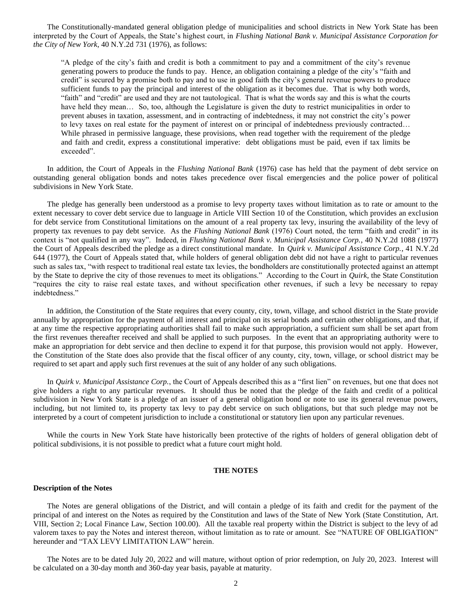The Constitutionally-mandated general obligation pledge of municipalities and school districts in New York State has been interpreted by the Court of Appeals, the State's highest court, in *Flushing National Bank v. Municipal Assistance Corporation for the City of New York*, 40 N.Y.2d 731 (1976), as follows:

"A pledge of the city's faith and credit is both a commitment to pay and a commitment of the city's revenue generating powers to produce the funds to pay. Hence, an obligation containing a pledge of the city's "faith and credit" is secured by a promise both to pay and to use in good faith the city's general revenue powers to produce sufficient funds to pay the principal and interest of the obligation as it becomes due. That is why both words, "faith" and "credit" are used and they are not tautological. That is what the words say and this is what the courts have held they mean... So, too, although the Legislature is given the duty to restrict municipalities in order to prevent abuses in taxation, assessment, and in contracting of indebtedness, it may not constrict the city's power to levy taxes on real estate for the payment of interest on or principal of indebtedness previously contracted… While phrased in permissive language, these provisions, when read together with the requirement of the pledge and faith and credit, express a constitutional imperative: debt obligations must be paid, even if tax limits be exceeded".

In addition, the Court of Appeals in the *Flushing National Bank* (1976) case has held that the payment of debt service on outstanding general obligation bonds and notes takes precedence over fiscal emergencies and the police power of political subdivisions in New York State.

The pledge has generally been understood as a promise to levy property taxes without limitation as to rate or amount to the extent necessary to cover debt service due to language in Article VIII Section 10 of the Constitution, which provides an exclusion for debt service from Constitutional limitations on the amount of a real property tax levy, insuring the availability of the levy of property tax revenues to pay debt service. As the *Flushing National Bank* (1976) Court noted, the term "faith and credit" in its context is "not qualified in any way". Indeed, in *Flushing National Bank v. Municipal Assistance Corp.*, 40 N.Y.2d 1088 (1977) the Court of Appeals described the pledge as a direct constitutional mandate. In *Quirk v. Municipal Assistance Corp.*, 41 N.Y.2d 644 (1977), the Court of Appeals stated that, while holders of general obligation debt did not have a right to particular revenues such as sales tax, "with respect to traditional real estate tax levies, the bondholders are constitutionally protected against an attempt by the State to deprive the city of those revenues to meet its obligations." According to the Court in *Quirk*, the State Constitution "requires the city to raise real estate taxes, and without specification other revenues, if such a levy be necessary to repay indebtedness."

In addition, the Constitution of the State requires that every county, city, town, village, and school district in the State provide annually by appropriation for the payment of all interest and principal on its serial bonds and certain other obligations, and that, if at any time the respective appropriating authorities shall fail to make such appropriation, a sufficient sum shall be set apart from the first revenues thereafter received and shall be applied to such purposes. In the event that an appropriating authority were to make an appropriation for debt service and then decline to expend it for that purpose, this provision would not apply. However, the Constitution of the State does also provide that the fiscal officer of any county, city, town, village, or school district may be required to set apart and apply such first revenues at the suit of any holder of any such obligations.

In *Quirk v. Municipal Assistance Corp.*, the Court of Appeals described this as a "first lien" on revenues, but one that does not give holders a right to any particular revenues. It should thus be noted that the pledge of the faith and credit of a political subdivision in New York State is a pledge of an issuer of a general obligation bond or note to use its general revenue powers, including, but not limited to, its property tax levy to pay debt service on such obligations, but that such pledge may not be interpreted by a court of competent jurisdiction to include a constitutional or statutory lien upon any particular revenues.

While the courts in New York State have historically been protective of the rights of holders of general obligation debt of political subdivisions, it is not possible to predict what a future court might hold.

# **THE NOTES**

# **Description of the Notes**

The Notes are general obligations of the District, and will contain a pledge of its faith and credit for the payment of the principal of and interest on the Notes as required by the Constitution and laws of the State of New York (State Constitution, Art. VIII, Section 2; Local Finance Law, Section 100.00). All the taxable real property within the District is subject to the levy of ad valorem taxes to pay the Notes and interest thereon, without limitation as to rate or amount. See "NATURE OF OBLIGATION" hereunder and "TAX LEVY LIMITATION LAW" herein.

The Notes are to be dated July 20, 2022 and will mature, without option of prior redemption, on July 20, 2023. Interest will be calculated on a 30-day month and 360-day year basis, payable at maturity.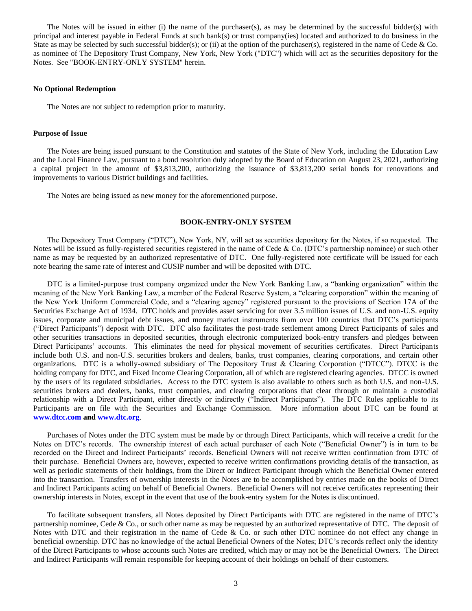The Notes will be issued in either (i) the name of the purchaser(s), as may be determined by the successful bidder(s) with principal and interest payable in Federal Funds at such bank(s) or trust company(ies) located and authorized to do business in the State as may be selected by such successful bidder(s); or (ii) at the option of the purchaser(s), registered in the name of Cede & Co. as nominee of The Depository Trust Company, New York, New York ("DTC") which will act as the securities depository for the Notes. See "BOOK-ENTRY-ONLY SYSTEM" herein.

# **No Optional Redemption**

The Notes are not subject to redemption prior to maturity.

#### **Purpose of Issue**

The Notes are being issued pursuant to the Constitution and statutes of the State of New York, including the Education Law and the Local Finance Law, pursuant to a bond resolution duly adopted by the Board of Education on August 23, 2021, authorizing a capital project in the amount of \$3,813,200, authorizing the issuance of \$3,813,200 serial bonds for renovations and improvements to various District buildings and facilities.

The Notes are being issued as new money for the aforementioned purpose.

# **BOOK-ENTRY-ONLY SYSTEM**

The Depository Trust Company ("DTC"), New York, NY, will act as securities depository for the Notes, if so requested. The Notes will be issued as fully-registered securities registered in the name of Cede & Co. (DTC's partnership nominee) or such other name as may be requested by an authorized representative of DTC. One fully-registered note certificate will be issued for each note bearing the same rate of interest and CUSIP number and will be deposited with DTC.

DTC is a limited-purpose trust company organized under the New York Banking Law, a "banking organization" within the meaning of the New York Banking Law, a member of the Federal Reserve System, a "clearing corporation" within the meaning of the New York Uniform Commercial Code, and a "clearing agency" registered pursuant to the provisions of Section 17A of the Securities Exchange Act of 1934. DTC holds and provides asset servicing for over 3.5 million issues of U.S. and non-U.S. equity issues, corporate and municipal debt issues, and money market instruments from over 100 countries that DTC's participants ("Direct Participants") deposit with DTC. DTC also facilitates the post-trade settlement among Direct Participants of sales and other securities transactions in deposited securities, through electronic computerized book-entry transfers and pledges between Direct Participants' accounts. This eliminates the need for physical movement of securities certificates. Direct Participants include both U.S. and non-U.S. securities brokers and dealers, banks, trust companies, clearing corporations, and certain other organizations. DTC is a wholly-owned subsidiary of The Depository Trust & Clearing Corporation ("DTCC"). DTCC is the holding company for DTC, and Fixed Income Clearing Corporation, all of which are registered clearing agencies. DTCC is owned by the users of its regulated subsidiaries. Access to the DTC system is also available to others such as both U.S. and non-U.S. securities brokers and dealers, banks, trust companies, and clearing corporations that clear through or maintain a custodial relationship with a Direct Participant, either directly or indirectly ("Indirect Participants"). The DTC Rules applicable to its Participants are on file with the Securities and Exchange Commission. More information about DTC can be found at **[www.dtcc.com](http://www.dtcc.com/) an[d www.dtc.org](http://www.dtc.org/)**.

Purchases of Notes under the DTC system must be made by or through Direct Participants, which will receive a credit for the Notes on DTC's records. The ownership interest of each actual purchaser of each Note ("Beneficial Owner") is in turn to be recorded on the Direct and Indirect Participants' records. Beneficial Owners will not receive written confirmation from DTC of their purchase. Beneficial Owners are, however, expected to receive written confirmations providing details of the transaction, as well as periodic statements of their holdings, from the Direct or Indirect Participant through which the Beneficial Owner entered into the transaction. Transfers of ownership interests in the Notes are to be accomplished by entries made on the books of Direct and Indirect Participants acting on behalf of Beneficial Owners. Beneficial Owners will not receive certificates representing their ownership interests in Notes, except in the event that use of the book-entry system for the Notes is discontinued.

To facilitate subsequent transfers, all Notes deposited by Direct Participants with DTC are registered in the name of DTC's partnership nominee, Cede & Co., or such other name as may be requested by an authorized representative of DTC. The deposit of Notes with DTC and their registration in the name of Cede & Co. or such other DTC nominee do not effect any change in beneficial ownership. DTC has no knowledge of the actual Beneficial Owners of the Notes; DTC's records reflect only the identity of the Direct Participants to whose accounts such Notes are credited, which may or may not be the Beneficial Owners. The Direct and Indirect Participants will remain responsible for keeping account of their holdings on behalf of their customers.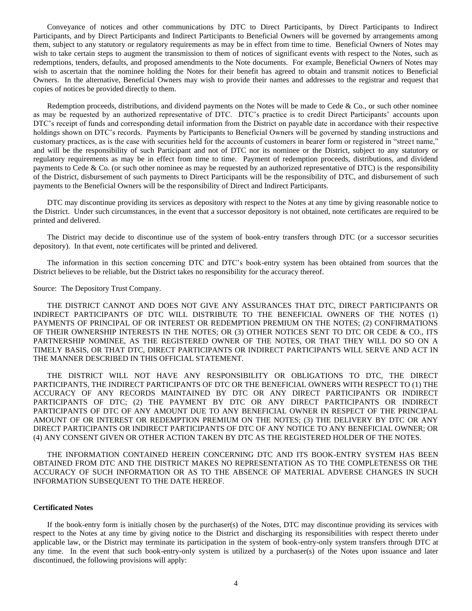Conveyance of notices and other communications by DTC to Direct Participants, by Direct Participants to Indirect Participants, and by Direct Participants and Indirect Participants to Beneficial Owners will be governed by arrangements among them, subject to any statutory or regulatory requirements as may be in effect from time to time. Beneficial Owners of Notes may wish to take certain steps to augment the transmission to them of notices of significant events with respect to the Notes, such as redemptions, tenders, defaults, and proposed amendments to the Note documents. For example, Beneficial Owners of Notes may wish to ascertain that the nominee holding the Notes for their benefit has agreed to obtain and transmit notices to Beneficial Owners. In the alternative, Beneficial Owners may wish to provide their names and addresses to the registrar and request that copies of notices be provided directly to them.

Redemption proceeds, distributions, and dividend payments on the Notes will be made to Cede  $\&$  Co., or such other nominee as may be requested by an authorized representative of DTC. DTC's practice is to credit Direct Participants' accounts upon DTC's receipt of funds and corresponding detail information from the District on payable date in accordance with their respective holdings shown on DTC's records. Payments by Participants to Beneficial Owners will be governed by standing instructions and customary practices, as is the case with securities held for the accounts of customers in bearer form or registered in "street name," and will be the responsibility of such Participant and not of DTC nor its nominee or the District, subject to any statutory or regulatory requirements as may be in effect from time to time. Payment of redemption proceeds, distributions, and dividend payments to Cede & Co. (or such other nominee as may be requested by an authorized representative of DTC) is the responsibility of the District, disbursement of such payments to Direct Participants will be the responsibility of DTC, and disbursement of such payments to the Beneficial Owners will be the responsibility of Direct and Indirect Participants.

DTC may discontinue providing its services as depository with respect to the Notes at any time by giving reasonable notice to the District. Under such circumstances, in the event that a successor depository is not obtained, note certificates are required to be printed and delivered.

The District may decide to discontinue use of the system of book-entry transfers through DTC (or a successor securities depository). In that event, note certificates will be printed and delivered.

The information in this section concerning DTC and DTC's book-entry system has been obtained from sources that the District believes to be reliable, but the District takes no responsibility for the accuracy thereof.

Source: The Depository Trust Company.

THE DISTRICT CANNOT AND DOES NOT GIVE ANY ASSURANCES THAT DTC, DIRECT PARTICIPANTS OR INDIRECT PARTICIPANTS OF DTC WILL DISTRIBUTE TO THE BENEFICIAL OWNERS OF THE NOTES (1) PAYMENTS OF PRINCIPAL OF OR INTEREST OR REDEMPTION PREMIUM ON THE NOTES; (2) CONFIRMATIONS OF THEIR OWNERSHIP INTERESTS IN THE NOTES; OR (3) OTHER NOTICES SENT TO DTC OR CEDE & CO., ITS PARTNERSHIP NOMINEE, AS THE REGISTERED OWNER OF THE NOTES, OR THAT THEY WILL DO SO ON A TIMELY BASIS, OR THAT DTC, DIRECT PARTICIPANTS OR INDIRECT PARTICIPANTS WILL SERVE AND ACT IN THE MANNER DESCRIBED IN THIS OFFICIAL STATEMENT.

THE DISTRICT WILL NOT HAVE ANY RESPONSIBILITY OR OBLIGATIONS TO DTC, THE DIRECT PARTICIPANTS, THE INDIRECT PARTICIPANTS OF DTC OR THE BENEFICIAL OWNERS WITH RESPECT TO (1) THE ACCURACY OF ANY RECORDS MAINTAINED BY DTC OR ANY DIRECT PARTICIPANTS OR INDIRECT PARTICIPANTS OF DTC; (2) THE PAYMENT BY DTC OR ANY DIRECT PARTICIPANTS OR INDIRECT PARTICIPANTS OF DTC OF ANY AMOUNT DUE TO ANY BENEFICIAL OWNER IN RESPECT OF THE PRINCIPAL AMOUNT OF OR INTEREST OR REDEMPTION PREMIUM ON THE NOTES; (3) THE DELIVERY BY DTC OR ANY DIRECT PARTICIPANTS OR INDIRECT PARTICIPANTS OF DTC OF ANY NOTICE TO ANY BENEFICIAL OWNER; OR (4) ANY CONSENT GIVEN OR OTHER ACTION TAKEN BY DTC AS THE REGISTERED HOLDER OF THE NOTES.

THE INFORMATION CONTAINED HEREIN CONCERNING DTC AND ITS BOOK-ENTRY SYSTEM HAS BEEN OBTAINED FROM DTC AND THE DISTRICT MAKES NO REPRESENTATION AS TO THE COMPLETENESS OR THE ACCURACY OF SUCH INFORMATION OR AS TO THE ABSENCE OF MATERIAL ADVERSE CHANGES IN SUCH INFORMATION SUBSEQUENT TO THE DATE HEREOF.

## **Certificated Notes**

If the book-entry form is initially chosen by the purchaser(s) of the Notes, DTC may discontinue providing its services with respect to the Notes at any time by giving notice to the District and discharging its responsibilities with respect thereto under applicable law, or the District may terminate its participation in the system of book-entry-only system transfers through DTC at any time. In the event that such book-entry-only system is utilized by a purchaser(s) of the Notes upon issuance and later discontinued, the following provisions will apply: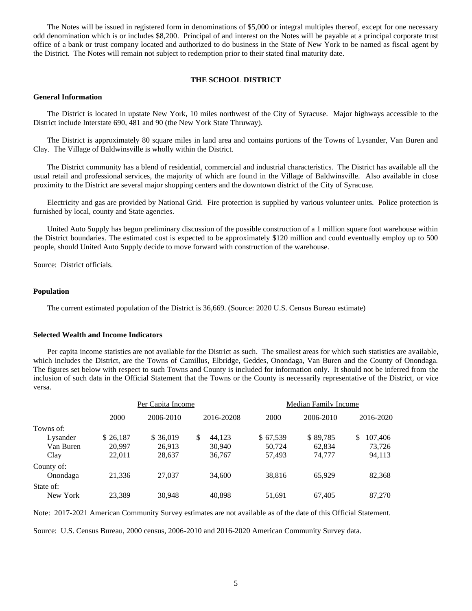The Notes will be issued in registered form in denominations of \$5,000 or integral multiples thereof, except for one necessary odd denomination which is or includes \$8,200. Principal of and interest on the Notes will be payable at a principal corporate trust office of a bank or trust company located and authorized to do business in the State of New York to be named as fiscal agent by the District. The Notes will remain not subject to redemption prior to their stated final maturity date.

# **THE SCHOOL DISTRICT**

# **General Information**

The District is located in upstate New York, 10 miles northwest of the City of Syracuse. Major highways accessible to the District include Interstate 690, 481 and 90 (the New York State Thruway).

The District is approximately 80 square miles in land area and contains portions of the Towns of Lysander, Van Buren and Clay. The Village of Baldwinsville is wholly within the District.

The District community has a blend of residential, commercial and industrial characteristics. The District has available all the usual retail and professional services, the majority of which are found in the Village of Baldwinsville. Also available in close proximity to the District are several major shopping centers and the downtown district of the City of Syracuse.

Electricity and gas are provided by National Grid. Fire protection is supplied by various volunteer units. Police protection is furnished by local, county and State agencies.

United Auto Supply has begun preliminary discussion of the possible construction of a 1 million square foot warehouse within the District boundaries. The estimated cost is expected to be approximately \$120 million and could eventually employ up to 500 people, should United Auto Supply decide to move forward with construction of the warehouse.

Source: District officials.

# **Population**

The current estimated population of the District is 36,669. (Source: 2020 U.S. Census Bureau estimate)

# **Selected Wealth and Income Indicators**

Per capita income statistics are not available for the District as such. The smallest areas for which such statistics are available, which includes the District, are the Towns of Camillus, Elbridge, Geddes, Onondaga, Van Buren and the County of Onondaga. The figures set below with respect to such Towns and County is included for information only. It should not be inferred from the inclusion of such data in the Official Statement that the Towns or the County is necessarily representative of the District, or vice versa.

|            | Per Capita Income |           |              | <b>Median Family Income</b> |           |              |
|------------|-------------------|-----------|--------------|-----------------------------|-----------|--------------|
|            | 2000              | 2006-2010 | 2016-20208   | 2000                        | 2006-2010 | 2016-2020    |
| Towns of:  |                   |           |              |                             |           |              |
| Lysander   | \$26,187          | \$ 36,019 | \$<br>44.123 | \$67,539                    | \$89,785  | 107,406<br>S |
| Van Buren  | 20.997            | 26.913    | 30,940       | 50.724                      | 62.834    | 73,726       |
| Clay       | 22,011            | 28,637    | 36,767       | 57,493                      | 74,777    | 94,113       |
| County of: |                   |           |              |                             |           |              |
| Onondaga   | 21,336            | 27,037    | 34,600       | 38,816                      | 65,929    | 82,368       |
| State of:  |                   |           |              |                             |           |              |
| New York   | 23,389            | 30,948    | 40,898       | 51,691                      | 67,405    | 87,270       |

Note: 2017-2021 American Community Survey estimates are not available as of the date of this Official Statement.

Source: U.S. Census Bureau, 2000 census, 2006-2010 and 2016-2020 American Community Survey data.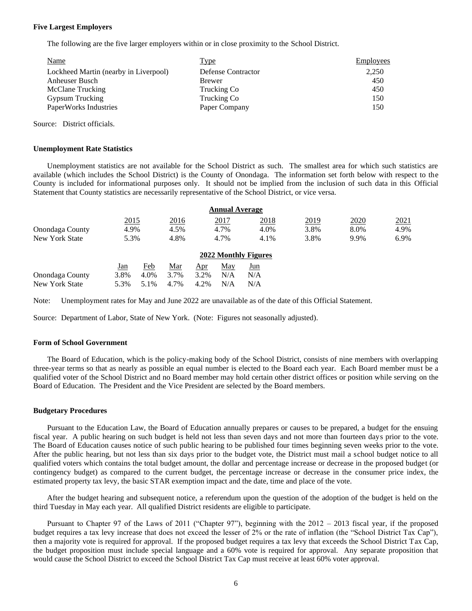# **Five Largest Employers**

The following are the five larger employers within or in close proximity to the School District.

| Name                                  | Type               | Employees |
|---------------------------------------|--------------------|-----------|
| Lockheed Martin (nearby in Liverpool) | Defense Contractor | 2,250     |
| Anheuser Busch                        | <b>Brewer</b>      | 450       |
| McClane Trucking                      | Trucking Co        | 450       |
| Gypsum Trucking                       | Trucking Co        | 150       |
| PaperWorks Industries                 | Paper Company      | 150       |

Source: District officials.

# **Unemployment Rate Statistics**

Unemployment statistics are not available for the School District as such. The smallest area for which such statistics are available (which includes the School District) is the County of Onondaga. The information set forth below with respect to the County is included for informational purposes only. It should not be implied from the inclusion of such data in this Official Statement that County statistics are necessarily representative of the School District, or vice versa.

|                 |      |      |      |      | <b>Annual Average</b> |                      |      |      |      |
|-----------------|------|------|------|------|-----------------------|----------------------|------|------|------|
|                 | 2015 |      | 2016 |      | 2017                  | 2018                 | 2019 | 2020 | 2021 |
| Onondaga County | 4.9% |      | 4.5% |      | 4.7%                  | 4.0%                 | 3.8% | 8.0% | 4.9% |
| New York State  | 5.3% |      | 4.8% |      | 4.7%                  | 4.1%                 | 3.8% | 9.9% | 6.9% |
|                 |      |      |      |      |                       | 2022 Monthly Figures |      |      |      |
|                 | Jan  | Feb  | Mar  | Apr  | May                   | Jun                  |      |      |      |
| Onondaga County | 3.8% | 4.0% | 3.7% | 3.2% | N/A                   | N/A                  |      |      |      |
| New York State  | 5.3% | 5.1% | 4.7% | 4.2% | N/A                   | N/A                  |      |      |      |

Note: Unemployment rates for May and June 2022 are unavailable as of the date of this Official Statement.

Source: Department of Labor, State of New York. (Note: Figures not seasonally adjusted).

# **Form of School Government**

The Board of Education, which is the policy-making body of the School District, consists of nine members with overlapping three-year terms so that as nearly as possible an equal number is elected to the Board each year. Each Board member must be a qualified voter of the School District and no Board member may hold certain other district offices or position while serving on the Board of Education. The President and the Vice President are selected by the Board members.

# **Budgetary Procedures**

Pursuant to the Education Law, the Board of Education annually prepares or causes to be prepared, a budget for the ensuing fiscal year. A public hearing on such budget is held not less than seven days and not more than fourteen days prior to the vote. The Board of Education causes notice of such public hearing to be published four times beginning seven weeks prior to the vote. After the public hearing, but not less than six days prior to the budget vote, the District must mail a school budget notice to all qualified voters which contains the total budget amount, the dollar and percentage increase or decrease in the proposed budget (or contingency budget) as compared to the current budget, the percentage increase or decrease in the consumer price index, the estimated property tax levy, the basic STAR exemption impact and the date, time and place of the vote.

After the budget hearing and subsequent notice, a referendum upon the question of the adoption of the budget is held on the third Tuesday in May each year. All qualified District residents are eligible to participate.

Pursuant to Chapter 97 of the Laws of 2011 ("Chapter 97"), beginning with the 2012 – 2013 fiscal year, if the proposed budget requires a tax levy increase that does not exceed the lesser of 2% or the rate of inflation (the "School District Tax Cap"), then a majority vote is required for approval. If the proposed budget requires a tax levy that exceeds the School District Tax Cap, the budget proposition must include special language and a 60% vote is required for approval. Any separate proposition that would cause the School District to exceed the School District Tax Cap must receive at least 60% voter approval.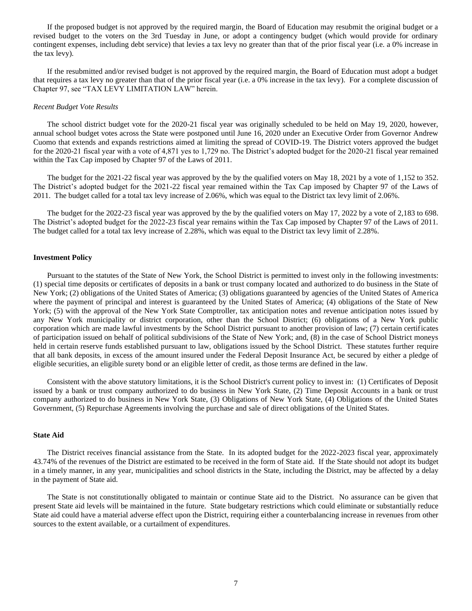If the proposed budget is not approved by the required margin, the Board of Education may resubmit the original budget or a revised budget to the voters on the 3rd Tuesday in June, or adopt a contingency budget (which would provide for ordinary contingent expenses, including debt service) that levies a tax levy no greater than that of the prior fiscal year (i.e. a 0% increase in the tax levy).

If the resubmitted and/or revised budget is not approved by the required margin, the Board of Education must adopt a budget that requires a tax levy no greater than that of the prior fiscal year (i.e. a 0% increase in the tax levy). For a complete discussion of Chapter 97, see "TAX LEVY LIMITATION LAW" herein.

# *Recent Budget Vote Results*

The school district budget vote for the 2020-21 fiscal year was originally scheduled to be held on May 19, 2020, however, annual school budget votes across the State were postponed until June 16, 2020 under an Executive Order from Governor Andrew Cuomo that extends and expands restrictions aimed at limiting the spread of COVID-19. The District voters approved the budget for the 2020-21 fiscal year with a vote of 4,871 yes to 1,729 no. The District's adopted budget for the 2020-21 fiscal year remained within the Tax Cap imposed by Chapter 97 of the Laws of 2011.

The budget for the 2021-22 fiscal year was approved by the by the qualified voters on May 18, 2021 by a vote of 1,152 to 352. The District's adopted budget for the 2021-22 fiscal year remained within the Tax Cap imposed by Chapter 97 of the Laws of 2011. The budget called for a total tax levy increase of 2.06%, which was equal to the District tax levy limit of 2.06%.

The budget for the 2022-23 fiscal year was approved by the by the qualified voters on May 17, 2022 by a vote of 2,183 to 698. The District's adopted budget for the 2022-23 fiscal year remains within the Tax Cap imposed by Chapter 97 of the Laws of 2011. The budget called for a total tax levy increase of 2.28%, which was equal to the District tax levy limit of 2.28%.

# **Investment Policy**

Pursuant to the statutes of the State of New York, the School District is permitted to invest only in the following investments: (1) special time deposits or certificates of deposits in a bank or trust company located and authorized to do business in the State of New York; (2) obligations of the United States of America; (3) obligations guaranteed by agencies of the United States of America where the payment of principal and interest is guaranteed by the United States of America; (4) obligations of the State of New York; (5) with the approval of the New York State Comptroller, tax anticipation notes and revenue anticipation notes issued by any New York municipality or district corporation, other than the School District; (6) obligations of a New York public corporation which are made lawful investments by the School District pursuant to another provision of law; (7) certain certificates of participation issued on behalf of political subdivisions of the State of New York; and, (8) in the case of School District moneys held in certain reserve funds established pursuant to law, obligations issued by the School District. These statutes further require that all bank deposits, in excess of the amount insured under the Federal Deposit Insurance Act, be secured by either a pledge of eligible securities, an eligible surety bond or an eligible letter of credit, as those terms are defined in the law.

Consistent with the above statutory limitations, it is the School District's current policy to invest in: (1) Certificates of Deposit issued by a bank or trust company authorized to do business in New York State, (2) Time Deposit Accounts in a bank or trust company authorized to do business in New York State, (3) Obligations of New York State, (4) Obligations of the United States Government, (5) Repurchase Agreements involving the purchase and sale of direct obligations of the United States.

#### **State Aid**

The District receives financial assistance from the State. In its adopted budget for the 2022-2023 fiscal year, approximately 43.74% of the revenues of the District are estimated to be received in the form of State aid. If the State should not adopt its budget in a timely manner, in any year, municipalities and school districts in the State, including the District, may be affected by a delay in the payment of State aid.

The State is not constitutionally obligated to maintain or continue State aid to the District. No assurance can be given that present State aid levels will be maintained in the future. State budgetary restrictions which could eliminate or substantially reduce State aid could have a material adverse effect upon the District, requiring either a counterbalancing increase in revenues from other sources to the extent available, or a curtailment of expenditures.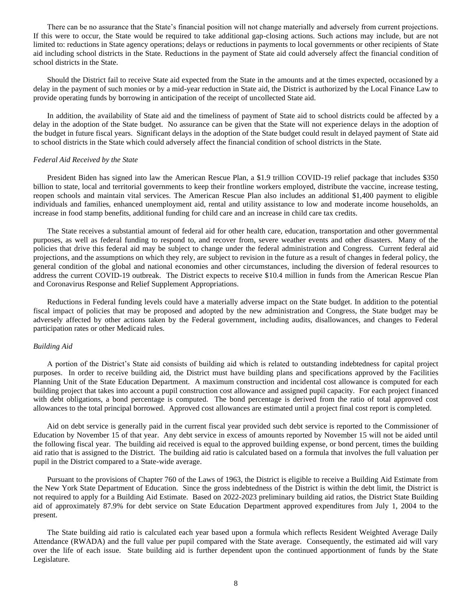There can be no assurance that the State's financial position will not change materially and adversely from current projections. If this were to occur, the State would be required to take additional gap-closing actions. Such actions may include, but are not limited to: reductions in State agency operations; delays or reductions in payments to local governments or other recipients of State aid including school districts in the State. Reductions in the payment of State aid could adversely affect the financial condition of school districts in the State.

Should the District fail to receive State aid expected from the State in the amounts and at the times expected, occasioned by a delay in the payment of such monies or by a mid-year reduction in State aid, the District is authorized by the Local Finance Law to provide operating funds by borrowing in anticipation of the receipt of uncollected State aid.

In addition, the availability of State aid and the timeliness of payment of State aid to school districts could be affected by a delay in the adoption of the State budget. No assurance can be given that the State will not experience delays in the adoption of the budget in future fiscal years. Significant delays in the adoption of the State budget could result in delayed payment of State aid to school districts in the State which could adversely affect the financial condition of school districts in the State.

# *Federal Aid Received by the State*

President Biden has signed into law the American Rescue Plan, a \$1.9 trillion COVID-19 relief package that includes \$350 billion to state, local and territorial governments to keep their frontline workers employed, distribute the vaccine, increase testing, reopen schools and maintain vital services. The American Rescue Plan also includes an additional \$1,400 payment to eligible individuals and families, enhanced unemployment aid, rental and utility assistance to low and moderate income households, an increase in food stamp benefits, additional funding for child care and an increase in child care tax credits.

The State receives a substantial amount of federal aid for other health care, education, transportation and other governmental purposes, as well as federal funding to respond to, and recover from, severe weather events and other disasters. Many of the policies that drive this federal aid may be subject to change under the federal administration and Congress. Current federal aid projections, and the assumptions on which they rely, are subject to revision in the future as a result of changes in federal policy, the general condition of the global and national economies and other circumstances, including the diversion of federal resources to address the current COVID-19 outbreak. The District expects to receive \$10.4 million in funds from the American Rescue Plan and Coronavirus Response and Relief Supplement Appropriations.

Reductions in Federal funding levels could have a materially adverse impact on the State budget. In addition to the potential fiscal impact of policies that may be proposed and adopted by the new administration and Congress, the State budget may be adversely affected by other actions taken by the Federal government, including audits, disallowances, and changes to Federal participation rates or other Medicaid rules.

#### *Building Aid*

A portion of the District's State aid consists of building aid which is related to outstanding indebtedness for capital project purposes. In order to receive building aid, the District must have building plans and specifications approved by the Facilities Planning Unit of the State Education Department. A maximum construction and incidental cost allowance is computed for each building project that takes into account a pupil construction cost allowance and assigned pupil capacity. For each project financed with debt obligations, a bond percentage is computed. The bond percentage is derived from the ratio of total approved cost allowances to the total principal borrowed. Approved cost allowances are estimated until a project final cost report is completed.

Aid on debt service is generally paid in the current fiscal year provided such debt service is reported to the Commissioner of Education by November 15 of that year. Any debt service in excess of amounts reported by November 15 will not be aided until the following fiscal year. The building aid received is equal to the approved building expense, or bond percent, times the building aid ratio that is assigned to the District. The building aid ratio is calculated based on a formula that involves the full valuation per pupil in the District compared to a State-wide average.

Pursuant to the provisions of Chapter 760 of the Laws of 1963, the District is eligible to receive a Building Aid Estimate from the New York State Department of Education. Since the gross indebtedness of the District is within the debt limit, the District is not required to apply for a Building Aid Estimate. Based on 2022-2023 preliminary building aid ratios, the District State Building aid of approximately 87.9% for debt service on State Education Department approved expenditures from July 1, 2004 to the present.

The State building aid ratio is calculated each year based upon a formula which reflects Resident Weighted Average Daily Attendance (RWADA) and the full value per pupil compared with the State average. Consequently, the estimated aid will vary over the life of each issue. State building aid is further dependent upon the continued apportionment of funds by the State Legislature.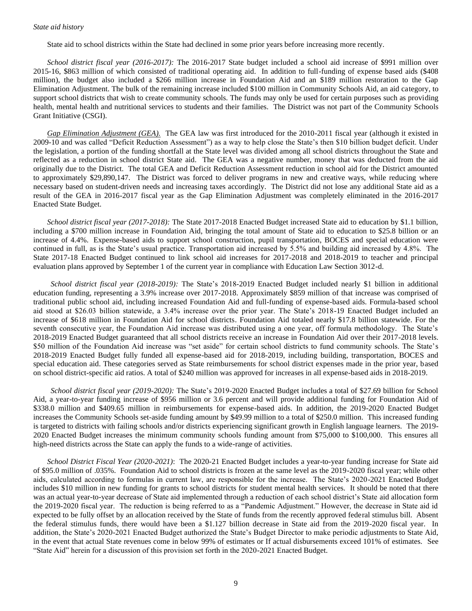# *State aid history*

State aid to school districts within the State had declined in some prior years before increasing more recently.

*School district fiscal year (2016-2017):* The 2016-2017 State budget included a school aid increase of \$991 million over 2015-16, \$863 million of which consisted of traditional operating aid. In addition to full-funding of expense based aids (\$408 million), the budget also included a \$266 million increase in Foundation Aid and an \$189 million restoration to the Gap Elimination Adjustment. The bulk of the remaining increase included \$100 million in Community Schools Aid, an aid category, to support school districts that wish to create community schools. The funds may only be used for certain purposes such as providing health, mental health and nutritional services to students and their families. The District was not part of the Community Schools Grant Initiative (CSGI).

*Gap Elimination Adjustment (GEA).* The GEA law was first introduced for the 2010-2011 fiscal year (although it existed in 2009-10 and was called "Deficit Reduction Assessment") as a way to help close the State's then \$10 billion budget deficit. Under the legislation, a portion of the funding shortfall at the State level was divided among all school districts throughout the State and reflected as a reduction in school district State aid. The GEA was a negative number, money that was deducted from the aid originally due to the District. The total GEA and Deficit Reduction Assessment reduction in school aid for the District amounted to approximately \$29,890,147. The District was forced to deliver programs in new and creative ways, while reducing where necessary based on student-driven needs and increasing taxes accordingly. The District did not lose any additional State aid as a result of the GEA in 2016-2017 fiscal year as the Gap Elimination Adjustment was completely eliminated in the 2016-2017 Enacted State Budget.

*School district fiscal year (2017-2018):* The State 2017-2018 Enacted Budget increased State aid to education by \$1.1 billion, including a \$700 million increase in Foundation Aid, bringing the total amount of State aid to education to \$25.8 billion or an increase of 4.4%. Expense-based aids to support school construction, pupil transportation, BOCES and special education were continued in full, as is the State's usual practice. Transportation aid increased by 5.5% and building aid increased by 4.8%. The State 2017-18 Enacted Budget continued to link school aid increases for 2017-2018 and 2018-2019 to teacher and principal evaluation plans approved by September 1 of the current year in compliance with Education Law Section 3012-d.

*School district fiscal year (2018-2019):* The State's 2018-2019 Enacted Budget included nearly \$1 billion in additional education funding, representing a 3.9% increase over 2017-2018. Approximately \$859 million of that increase was comprised of traditional public school aid, including increased Foundation Aid and full-funding of expense-based aids. Formula-based school aid stood at \$26.03 billion statewide, a 3.4% increase over the prior year. The State's 2018-19 Enacted Budget included an increase of \$618 million in Foundation Aid for school districts. Foundation Aid totaled nearly \$17.8 billion statewide. For the seventh consecutive year, the Foundation Aid increase was distributed using a one year, off formula methodology. The State's 2018-2019 Enacted Budget guaranteed that all school districts receive an increase in Foundation Aid over their 2017-2018 levels. \$50 million of the Foundation Aid increase was "set aside" for certain school districts to fund community schools. The State's 2018-2019 Enacted Budget fully funded all expense-based aid for 2018-2019, including building, transportation, BOCES and special education aid. These categories served as State reimbursements for school district expenses made in the prior year, based on school district-specific aid ratios. A total of \$240 million was approved for increases in all expense-based aids in 2018-2019.

*School district fiscal year (2019-2020):* The State's 2019-2020 Enacted Budget includes a total of \$27.69 billion for School Aid, a year-to-year funding increase of \$956 million or 3.6 percent and will provide additional funding for Foundation Aid of \$338.0 million and \$409.65 million in reimbursements for expense-based aids. In addition, the 2019-2020 Enacted Budget increases the Community Schools set-aside funding amount by \$49.99 million to a total of \$250.0 million. This increased funding is targeted to districts with failing schools and/or districts experiencing significant growth in English language learners. The 2019- 2020 Enacted Budget increases the minimum community schools funding amount from \$75,000 to \$100,000. This ensures all high-need districts across the State can apply the funds to a wide-range of activities.

*School District Fiscal Year (2020-2021)*: The 2020-21 Enacted Budget includes a year-to-year funding increase for State aid of \$95.0 million of .035%. Foundation Aid to school districts is frozen at the same level as the 2019-2020 fiscal year; while other aids, calculated according to formulas in current law, are responsible for the increase. The State's 2020-2021 Enacted Budget includes \$10 million in new funding for grants to school districts for student mental health services. It should be noted that there was an actual year-to-year decrease of State aid implemented through a reduction of each school district's State aid allocation form the 2019-2020 fiscal year. The reduction is being referred to as a "Pandemic Adjustment." However, the decrease in State aid id expected to be fully offset by an allocation received by the State of funds from the recently approved federal stimulus bill. Absent the federal stimulus funds, there would have been a \$1.127 billion decrease in State aid from the 2019-2020 fiscal year. In addition, the State's 2020-2021 Enacted Budget authorized the State's Budget Director to make periodic adjustments to State Aid, in the event that actual State revenues come in below 99% of estimates or If actual disbursements exceed 101% of estimates. See "State Aid" herein for a discussion of this provision set forth in the 2020-2021 Enacted Budget.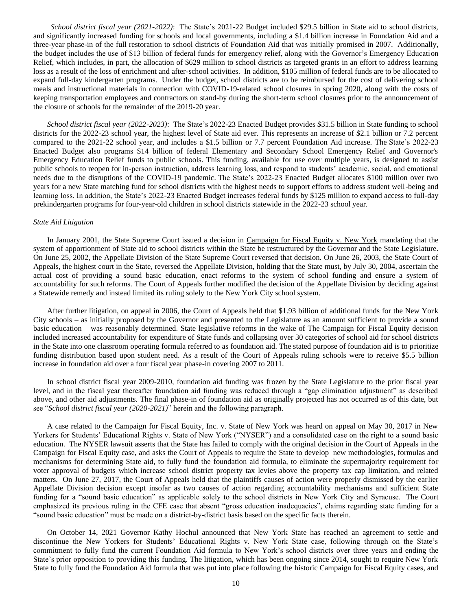*School district fiscal year (2021-2022)*: The State's 2021-22 Budget included \$29.5 billion in State aid to school districts, and significantly increased funding for schools and local governments, including a \$1.4 billion increase in Foundation Aid and a three-year phase-in of the full restoration to school districts of Foundation Aid that was initially promised in 2007. Additionally, the budget includes the use of \$13 billion of federal funds for emergency relief, along with the Governor's Emergency Education Relief, which includes, in part, the allocation of \$629 million to school districts as targeted grants in an effort to address learning loss as a result of the loss of enrichment and after-school activities. In addition, \$105 million of federal funds are to be allocated to expand full-day kindergarten programs. Under the budget, school districts are to be reimbursed for the cost of delivering school meals and instructional materials in connection with COVID-19-related school closures in spring 2020, along with the costs of keeping transportation employees and contractors on stand-by during the short-term school closures prior to the announcement of the closure of schools for the remainder of the 2019-20 year.

*School district fiscal year (2022-2023)*: The State's 2022-23 Enacted Budget provides \$31.5 billion in State funding to school districts for the 2022-23 school year, the highest level of State aid ever. This represents an increase of \$2.1 billion or 7.2 percent compared to the 2021-22 school year, and includes a \$1.5 billion or 7.7 percent Foundation Aid increase. The State's 2022-23 Enacted Budget also programs \$14 billion of federal Elementary and Secondary School Emergency Relief and Governor's Emergency Education Relief funds to public schools. This funding, available for use over multiple years, is designed to assist public schools to reopen for in-person instruction, address learning loss, and respond to students' academic, social, and emotional needs due to the disruptions of the COVID-19 pandemic. The State's 2022-23 Enacted Budget allocates \$100 million over two years for a new State matching fund for school districts with the highest needs to support efforts to address student well-being and learning loss. In addition, the State's 2022-23 Enacted Budget increases federal funds by \$125 million to expand access to full-day prekindergarten programs for four-year-old children in school districts statewide in the 2022-23 school year.

# *State Aid Litigation*

In January 2001, the State Supreme Court issued a decision in Campaign for Fiscal Equity v. New York mandating that the system of apportionment of State aid to school districts within the State be restructured by the Governor and the State Legislature. On June 25, 2002, the Appellate Division of the State Supreme Court reversed that decision. On June 26, 2003, the State Court of Appeals, the highest court in the State, reversed the Appellate Division, holding that the State must, by July 30, 2004, ascertain the actual cost of providing a sound basic education, enact reforms to the system of school funding and ensure a system of accountability for such reforms. The Court of Appeals further modified the decision of the Appellate Division by deciding against a Statewide remedy and instead limited its ruling solely to the New York City school system.

After further litigation, on appeal in 2006, the Court of Appeals held that \$1.93 billion of additional funds for the New York City schools – as initially proposed by the Governor and presented to the Legislature as an amount sufficient to provide a sound basic education – was reasonably determined. State legislative reforms in the wake of The Campaign for Fiscal Equity decision included increased accountability for expenditure of State funds and collapsing over 30 categories of school aid for school districts in the State into one classroom operating formula referred to as foundation aid. The stated purpose of foundation aid is to prioritize funding distribution based upon student need. As a result of the Court of Appeals ruling schools were to receive \$5.5 billion increase in foundation aid over a four fiscal year phase-in covering 2007 to 2011.

In school district fiscal year 2009-2010, foundation aid funding was frozen by the State Legislature to the prior fiscal year level, and in the fiscal year thereafter foundation aid funding was reduced through a "gap elimination adjustment" as described above, and other aid adjustments. The final phase-in of foundation aid as originally projected has not occurred as of this date, but see "*School district fiscal year (2020-2021)*" herein and the following paragraph.

A case related to the Campaign for Fiscal Equity, Inc. v. State of New York was heard on appeal on May 30, 2017 in New Yorkers for Students' Educational Rights v. State of New York ("NYSER") and a consolidated case on the right to a sound basic education. The NYSER lawsuit asserts that the State has failed to comply with the original decision in the Court of Appeals in the Campaign for Fiscal Equity case, and asks the Court of Appeals to require the State to develop new methodologies, formulas and mechanisms for determining State aid, to fully fund the foundation aid formula, to eliminate the supermajority requirement for voter approval of budgets which increase school district property tax levies above the property tax cap limitation, and related matters. On June 27, 2017, the Court of Appeals held that the plaintiffs causes of action were properly dismissed by the earlier Appellate Division decision except insofar as two causes of action regarding accountability mechanisms and sufficient State funding for a "sound basic education" as applicable solely to the school districts in New York City and Syracuse. The Court emphasized its previous ruling in the CFE case that absent "gross education inadequacies", claims regarding state funding for a "sound basic education" must be made on a district-by-district basis based on the specific facts therein.

On October 14, 2021 Governor Kathy Hochul announced that New York State has reached an agreement to settle and discontinue the New Yorkers for Students' Educational Rights v. New York State case, following through on the State's commitment to fully fund the current Foundation Aid formula to New York's school districts over three years and ending the State's prior opposition to providing this funding. The litigation, which has been ongoing since 2014, sought to require New York State to fully fund the Foundation Aid formula that was put into place following the historic Campaign for Fiscal Equity cases, and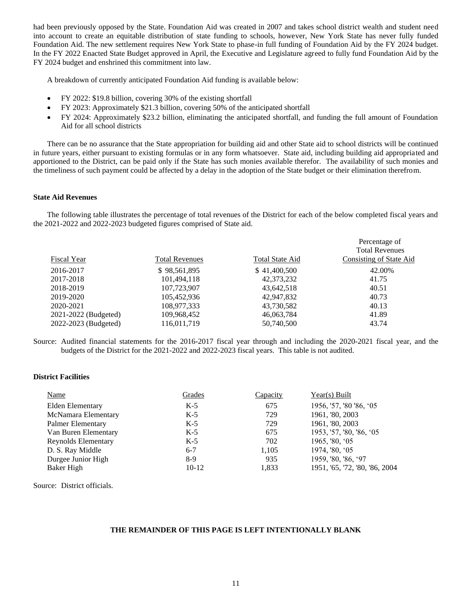had been previously opposed by the State. Foundation Aid was created in 2007 and takes school district wealth and student need into account to create an equitable distribution of state funding to schools, however, New York State has never fully funded Foundation Aid. The new settlement requires New York State to phase-in full funding of Foundation Aid by the FY 2024 budget. In the FY 2022 Enacted State Budget approved in April, the Executive and Legislature agreed to fully fund Foundation Aid by the FY 2024 budget and enshrined this commitment into law.

A breakdown of currently anticipated Foundation Aid funding is available below:

- FY 2022: \$19.8 billion, covering 30% of the existing shortfall
- FY 2023: Approximately \$21.3 billion, covering 50% of the anticipated shortfall
- FY 2024: Approximately \$23.2 billion, eliminating the anticipated shortfall, and funding the full amount of Foundation Aid for all school districts

There can be no assurance that the State appropriation for building aid and other State aid to school districts will be continued in future years, either pursuant to existing formulas or in any form whatsoever. State aid, including building aid appropriated and apportioned to the District, can be paid only if the State has such monies available therefor. The availability of such monies and the timeliness of such payment could be affected by a delay in the adoption of the State budget or their elimination therefrom.

# **State Aid Revenues**

The following table illustrates the percentage of total revenues of the District for each of the below completed fiscal years and the 2021-2022 and 2022-2023 budgeted figures comprised of State aid.

| <b>Fiscal Year</b>   | <b>Total Revenues</b> | <b>Total State Aid</b> | Percentage of<br><b>Total Revenues</b><br>Consisting of State Aid |
|----------------------|-----------------------|------------------------|-------------------------------------------------------------------|
| 2016-2017            | \$98,561,895          | \$41,400,500           | 42.00%                                                            |
| 2017-2018            | 101,494,118           | 42,373,232             | 41.75                                                             |
| 2018-2019            | 107,723,907           | 43,642,518             | 40.51                                                             |
| 2019-2020            | 105,452,936           | 42,947,832             | 40.73                                                             |
| 2020-2021            | 108,977,333           | 43,730,582             | 40.13                                                             |
| 2021-2022 (Budgeted) | 109,968,452           | 46,063,784             | 41.89                                                             |
| 2022-2023 (Budgeted) | 116,011,719           | 50,740,500             | 43.74                                                             |

Source: Audited financial statements for the 2016-2017 fiscal year through and including the 2020-2021 fiscal year, and the budgets of the District for the 2021-2022 and 2022-2023 fiscal years. This table is not audited.

# **District Facilities**

| <b>Name</b>             | Grades  | Capacity | $Year(s)$ Built                |
|-------------------------|---------|----------|--------------------------------|
| <b>Elden Elementary</b> | $K-5$   | 675      | 1956, '57, '80 '86, '05        |
| McNamara Elementary     | $K-5$   | 729      | 1961, '80, 2003                |
| Palmer Elementary       | $K-5$   | 729      | 1961, '80, 2003                |
| Van Buren Elementary    | $K-5$   | 675      | 1953, '57, '80, '86, '05       |
| Reynolds Elementary     | $K-5$   | 702      | 1965, '80, '05                 |
| D. S. Ray Middle        | $6 - 7$ | 1,105    | 1974, '80, '05                 |
| Durgee Junior High      | 8-9     | 935      | 1959, '80, '86, '97            |
| Baker High              | $10-12$ | 1,833    | 1951, '65, '72, '80, '86, 2004 |

Source: District officials.

# **THE REMAINDER OF THIS PAGE IS LEFT INTENTIONALLY BLANK**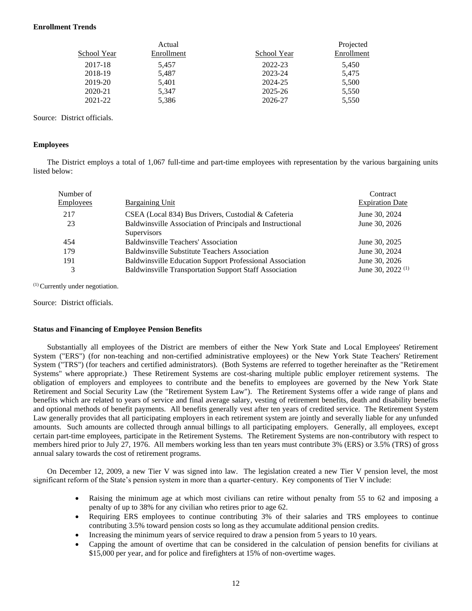# **Enrollment Trends**

|             | Actual     |             | Projected  |
|-------------|------------|-------------|------------|
| School Year | Enrollment | School Year | Enrollment |
| 2017-18     | 5.457      | 2022-23     | 5,450      |
| 2018-19     | 5.487      | 2023-24     | 5,475      |
| 2019-20     | 5,401      | 2024-25     | 5,500      |
| 2020-21     | 5.347      | 2025-26     | 5,550      |
| 2021-22     | 5,386      | 2026-27     | 5,550      |

Source: District officials.

# **Employees**

The District employs a total of 1,067 full-time and part-time employees with representation by the various bargaining units listed below:

| Number of        |                                                               | Contract                     |
|------------------|---------------------------------------------------------------|------------------------------|
| <b>Employees</b> | <b>Bargaining Unit</b>                                        | <b>Expiration Date</b>       |
| 217              | CSEA (Local 834) Bus Drivers, Custodial & Cafeteria           | June 30, 2024                |
| 23               | Baldwinsville Association of Principals and Instructional     | June 30, 2026                |
|                  | <b>Supervisors</b>                                            |                              |
| 454              | <b>Baldwinsville Teachers' Association</b>                    | June 30, 2025                |
| 179              | <b>Baldwinsville Substitute Teachers Association</b>          | June 30, 2024                |
| 191              | Baldwinsville Education Support Professional Association      | June 30, 2026                |
| 3                | <b>Baldwinsville Transportation Support Staff Association</b> | June 30, 2022 <sup>(1)</sup> |
|                  |                                                               |                              |

(1) Currently under negotiation.

Source: District officials.

# **Status and Financing of Employee Pension Benefits**

Substantially all employees of the District are members of either the New York State and Local Employees' Retirement System ("ERS") (for non-teaching and non-certified administrative employees) or the New York State Teachers' Retirement System ("TRS") (for teachers and certified administrators). (Both Systems are referred to together hereinafter as the "Retirement Systems" where appropriate.) These Retirement Systems are cost-sharing multiple public employer retirement systems. The obligation of employers and employees to contribute and the benefits to employees are governed by the New York State Retirement and Social Security Law (the "Retirement System Law"). The Retirement Systems offer a wide range of plans and benefits which are related to years of service and final average salary, vesting of retirement benefits, death and disability benefits and optional methods of benefit payments. All benefits generally vest after ten years of credited service. The Retirement System Law generally provides that all participating employers in each retirement system are jointly and severally liable for any unfunded amounts. Such amounts are collected through annual billings to all participating employers. Generally, all employees, except certain part-time employees, participate in the Retirement Systems. The Retirement Systems are non-contributory with respect to members hired prior to July 27, 1976. All members working less than ten years must contribute 3% (ERS) or 3.5% (TRS) of gross annual salary towards the cost of retirement programs.

On December 12, 2009, a new Tier V was signed into law. The legislation created a new Tier V pension level, the most significant reform of the State's pension system in more than a quarter-century. Key components of Tier V include:

- Raising the minimum age at which most civilians can retire without penalty from 55 to 62 and imposing a penalty of up to 38% for any civilian who retires prior to age 62.
- Requiring ERS employees to continue contributing 3% of their salaries and TRS employees to continue contributing 3.5% toward pension costs so long as they accumulate additional pension credits.
- Increasing the minimum years of service required to draw a pension from 5 years to 10 years.
- Capping the amount of overtime that can be considered in the calculation of pension benefits for civilians at \$15,000 per year, and for police and firefighters at 15% of non-overtime wages.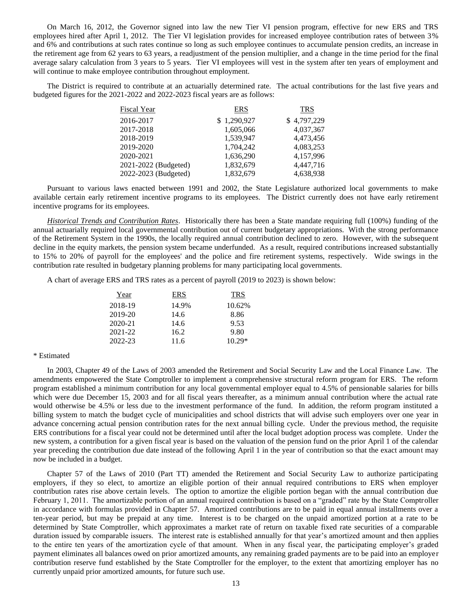On March 16, 2012, the Governor signed into law the new Tier VI pension program, effective for new ERS and TRS employees hired after April 1, 2012. The Tier VI legislation provides for increased employee contribution rates of between 3% and 6% and contributions at such rates continue so long as such employee continues to accumulate pension credits, an increase in the retirement age from 62 years to 63 years, a readjustment of the pension multiplier, and a change in the time period for the final average salary calculation from 3 years to 5 years. Tier VI employees will vest in the system after ten years of employment and will continue to make employee contribution throughout employment.

The District is required to contribute at an actuarially determined rate. The actual contributions for the last five years and budgeted figures for the 2021-2022 and 2022-2023 fiscal years are as follows:

| <b>Fiscal Year</b>   | <b>ERS</b>  | <b>TRS</b>  |
|----------------------|-------------|-------------|
| 2016-2017            | \$1,290,927 | \$4,797,229 |
| 2017-2018            | 1,605,066   | 4,037,367   |
| 2018-2019            | 1,539,947   | 4,473,456   |
| 2019-2020            | 1,704,242   | 4,083,253   |
| 2020-2021            | 1,636,290   | 4,157,996   |
| 2021-2022 (Budgeted) | 1,832,679   | 4,447,716   |
| 2022-2023 (Budgeted) | 1,832,679   | 4,638,938   |

Pursuant to various laws enacted between 1991 and 2002, the State Legislature authorized local governments to make available certain early retirement incentive programs to its employees. The District currently does not have early retirement incentive programs for its employees.

*Historical Trends and Contribution Rates*. Historically there has been a State mandate requiring full (100%) funding of the annual actuarially required local governmental contribution out of current budgetary appropriations. With the strong performance of the Retirement System in the 1990s, the locally required annual contribution declined to zero. However, with the subsequent decline in the equity markets, the pension system became underfunded. As a result, required contributions increased substantially to 15% to 20% of payroll for the employees' and the police and fire retirement systems, respectively. Wide swings in the contribution rate resulted in budgetary planning problems for many participating local governments.

A chart of average ERS and TRS rates as a percent of payroll (2019 to 2023) is shown below:

| Year        | ERS   | <b>TRS</b> |
|-------------|-------|------------|
| 2018-19     | 14.9% | 10.62%     |
| 2019-20     | 14.6  | 8.86       |
| $2020 - 21$ | 14.6  | 9.53       |
| 2021-22     | 16.2  | 9.80       |
| 2022-23     | 11.6  | $10.29*$   |

# \* Estimated

In 2003, Chapter 49 of the Laws of 2003 amended the Retirement and Social Security Law and the Local Finance Law. The amendments empowered the State Comptroller to implement a comprehensive structural reform program for ERS. The reform program established a minimum contribution for any local governmental employer equal to 4.5% of pensionable salaries for bills which were due December 15, 2003 and for all fiscal years thereafter, as a minimum annual contribution where the actual rate would otherwise be 4.5% or less due to the investment performance of the fund. In addition, the reform program instituted a billing system to match the budget cycle of municipalities and school districts that will advise such employers over one year in advance concerning actual pension contribution rates for the next annual billing cycle. Under the previous method, the requisite ERS contributions for a fiscal year could not be determined until after the local budget adoption process was complete. Under the new system, a contribution for a given fiscal year is based on the valuation of the pension fund on the prior April 1 of the calendar year preceding the contribution due date instead of the following April 1 in the year of contribution so that the exact amount may now be included in a budget.

Chapter 57 of the Laws of 2010 (Part TT) amended the Retirement and Social Security Law to authorize participating employers, if they so elect, to amortize an eligible portion of their annual required contributions to ERS when employer contribution rates rise above certain levels. The option to amortize the eligible portion began with the annual contribution due February 1, 2011. The amortizable portion of an annual required contribution is based on a "graded" rate by the State Comptroller in accordance with formulas provided in Chapter 57. Amortized contributions are to be paid in equal annual installments over a ten-year period, but may be prepaid at any time. Interest is to be charged on the unpaid amortized portion at a rate to be determined by State Comptroller, which approximates a market rate of return on taxable fixed rate securities of a comparable duration issued by comparable issuers. The interest rate is established annually for that year's amortized amount and then applies to the entire ten years of the amortization cycle of that amount. When in any fiscal year, the participating employer's graded payment eliminates all balances owed on prior amortized amounts, any remaining graded payments are to be paid into an employer contribution reserve fund established by the State Comptroller for the employer, to the extent that amortizing employer has no currently unpaid prior amortized amounts, for future such use.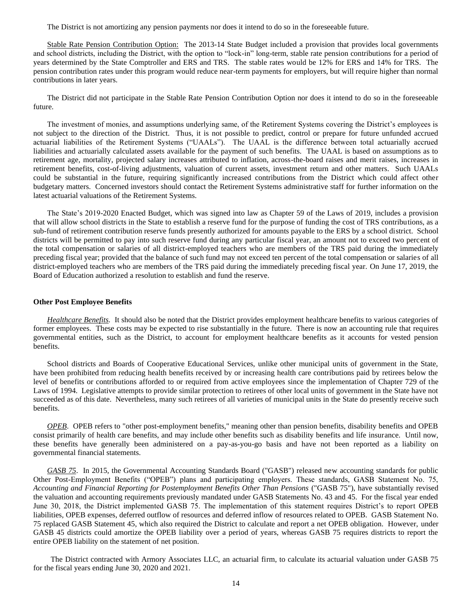The District is not amortizing any pension payments nor does it intend to do so in the foreseeable future.

Stable Rate Pension Contribution Option: The 2013-14 State Budget included a provision that provides local governments and school districts, including the District, with the option to "lock-in" long-term, stable rate pension contributions for a period of years determined by the State Comptroller and ERS and TRS. The stable rates would be 12% for ERS and 14% for TRS. The pension contribution rates under this program would reduce near-term payments for employers, but will require higher than normal contributions in later years.

The District did not participate in the Stable Rate Pension Contribution Option nor does it intend to do so in the foreseeable future.

The investment of monies, and assumptions underlying same, of the Retirement Systems covering the District's employees is not subject to the direction of the District. Thus, it is not possible to predict, control or prepare for future unfunded accrued actuarial liabilities of the Retirement Systems ("UAALs"). The UAAL is the difference between total actuarially accrued liabilities and actuarially calculated assets available for the payment of such benefits. The UAAL is based on assumptions as to retirement age, mortality, projected salary increases attributed to inflation, across-the-board raises and merit raises, increases in retirement benefits, cost-of-living adjustments, valuation of current assets, investment return and other matters. Such UAALs could be substantial in the future, requiring significantly increased contributions from the District which could affect other budgetary matters. Concerned investors should contact the Retirement Systems administrative staff for further information on the latest actuarial valuations of the Retirement Systems.

The State's 2019-2020 Enacted Budget, which was signed into law as Chapter 59 of the Laws of 2019, includes a provision that will allow school districts in the State to establish a reserve fund for the purpose of funding the cost of TRS contributions, as a sub-fund of retirement contribution reserve funds presently authorized for amounts payable to the ERS by a school district. School districts will be permitted to pay into such reserve fund during any particular fiscal year, an amount not to exceed two percent of the total compensation or salaries of all district-employed teachers who are members of the TRS paid during the immediately preceding fiscal year; provided that the balance of such fund may not exceed ten percent of the total compensation or salaries of all district-employed teachers who are members of the TRS paid during the immediately preceding fiscal year. On June 17, 2019, the Board of Education authorized a resolution to establish and fund the reserve.

# **Other Post Employee Benefits**

*Healthcare Benefits.* It should also be noted that the District provides employment healthcare benefits to various categories of former employees. These costs may be expected to rise substantially in the future. There is now an accounting rule that requires governmental entities, such as the District, to account for employment healthcare benefits as it accounts for vested pension benefits.

School districts and Boards of Cooperative Educational Services, unlike other municipal units of government in the State, have been prohibited from reducing health benefits received by or increasing health care contributions paid by retirees below the level of benefits or contributions afforded to or required from active employees since the implementation of Chapter 729 of the Laws of 1994. Legislative attempts to provide similar protection to retirees of other local units of government in the State have not succeeded as of this date. Nevertheless, many such retirees of all varieties of municipal units in the State do presently receive such benefits.

*OPEB*. OPEB refers to "other post-employment benefits," meaning other than pension benefits, disability benefits and OPEB consist primarily of health care benefits, and may include other benefits such as disability benefits and life insurance. Until now, these benefits have generally been administered on a pay-as-you-go basis and have not been reported as a liability on governmental financial statements.

*GASB 75*. In 2015, the Governmental Accounting Standards Board ("GASB") released new accounting standards for public Other Post-Employment Benefits ("OPEB") plans and participating employers. These standards, GASB Statement No. 75, *Accounting and Financial Reporting for Postemployment Benefits Other Than Pensions* ("GASB 75"), have substantially revised the valuation and accounting requirements previously mandated under GASB Statements No. 43 and 45. For the fiscal year ended June 30, 2018, the District implemented GASB 75. The implementation of this statement requires District's to report OPEB liabilities, OPEB expenses, deferred outflow of resources and deferred inflow of resources related to OPEB. GASB Statement No. 75 replaced GASB Statement 45, which also required the District to calculate and report a net OPEB obligation. However, under GASB 45 districts could amortize the OPEB liability over a period of years, whereas GASB 75 requires districts to report the entire OPEB liability on the statement of net position.

The District contracted with Armory Associates LLC, an actuarial firm, to calculate its actuarial valuation under GASB 75 for the fiscal years ending June 30, 2020 and 2021.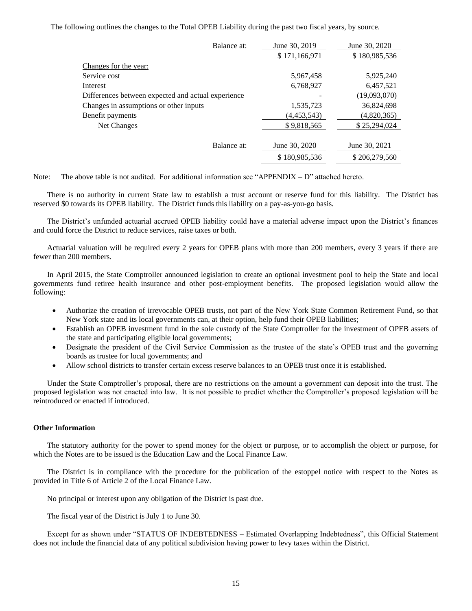The following outlines the changes to the Total OPEB Liability during the past two fiscal years, by source.

| Balance at:                                        | June 30, 2019 | June 30, 2020 |
|----------------------------------------------------|---------------|---------------|
|                                                    | \$171,166,971 | \$180,985,536 |
| Changes for the year:                              |               |               |
| Service cost                                       | 5,967,458     | 5,925,240     |
| Interest                                           | 6,768,927     | 6,457,521     |
| Differences between expected and actual experience |               | (19,093,070)  |
| Changes in assumptions or other inputs             | 1,535,723     | 36,824,698    |
| Benefit payments                                   | (4, 453, 543) | (4,820,365)   |
| Net Changes                                        | \$9,818,565   | \$25,294,024  |
|                                                    |               |               |
| Balance at:                                        | June 30, 2020 | June 30, 2021 |
|                                                    | \$180,985,536 | \$206,279,560 |

Note: The above table is not audited. For additional information see "APPENDIX – D" attached hereto.

There is no authority in current State law to establish a trust account or reserve fund for this liability. The District has reserved \$0 towards its OPEB liability. The District funds this liability on a pay-as-you-go basis.

The District's unfunded actuarial accrued OPEB liability could have a material adverse impact upon the District's finances and could force the District to reduce services, raise taxes or both.

Actuarial valuation will be required every 2 years for OPEB plans with more than 200 members, every 3 years if there are fewer than 200 members.

In April 2015, the State Comptroller announced legislation to create an optional investment pool to help the State and local governments fund retiree health insurance and other post-employment benefits. The proposed legislation would allow the following:

- Authorize the creation of irrevocable OPEB trusts, not part of the New York State Common Retirement Fund, so that New York state and its local governments can, at their option, help fund their OPEB liabilities;
- Establish an OPEB investment fund in the sole custody of the State Comptroller for the investment of OPEB assets of the state and participating eligible local governments;
- Designate the president of the Civil Service Commission as the trustee of the state's OPEB trust and the governing boards as trustee for local governments; and
- Allow school districts to transfer certain excess reserve balances to an OPEB trust once it is established.

Under the State Comptroller's proposal, there are no restrictions on the amount a government can deposit into the trust. The proposed legislation was not enacted into law. It is not possible to predict whether the Comptroller's proposed legislation will be reintroduced or enacted if introduced.

# **Other Information**

The statutory authority for the power to spend money for the object or purpose, or to accomplish the object or purpose, for which the Notes are to be issued is the Education Law and the Local Finance Law.

The District is in compliance with the procedure for the publication of the estoppel notice with respect to the Notes as provided in Title 6 of Article 2 of the Local Finance Law.

No principal or interest upon any obligation of the District is past due.

The fiscal year of the District is July 1 to June 30.

Except for as shown under "STATUS OF INDEBTEDNESS – Estimated Overlapping Indebtedness", this Official Statement does not include the financial data of any political subdivision having power to levy taxes within the District.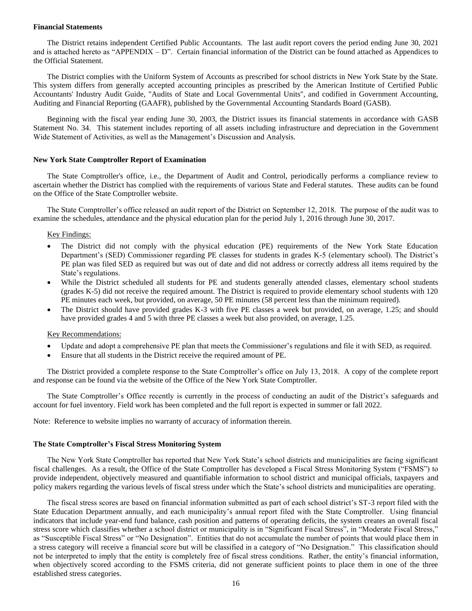# **Financial Statements**

The District retains independent Certified Public Accountants. The last audit report covers the period ending June 30, 2021 and is attached hereto as "APPENDIX – D". Certain financial information of the District can be found attached as Appendices to the Official Statement.

The District complies with the Uniform System of Accounts as prescribed for school districts in New York State by the State. This system differs from generally accepted accounting principles as prescribed by the American Institute of Certified Public Accountants' Industry Audit Guide, "Audits of State and Local Governmental Units", and codified in Government Accounting, Auditing and Financial Reporting (GAAFR), published by the Governmental Accounting Standards Board (GASB).

Beginning with the fiscal year ending June 30, 2003, the District issues its financial statements in accordance with GASB Statement No. 34. This statement includes reporting of all assets including infrastructure and depreciation in the Government Wide Statement of Activities, as well as the Management's Discussion and Analysis.

# **New York State Comptroller Report of Examination**

The State Comptroller's office, i.e., the Department of Audit and Control, periodically performs a compliance review to ascertain whether the District has complied with the requirements of various State and Federal statutes. These audits can be found on the Office of the State Comptroller website.

The State Comptroller's office released an audit report of the District on September 12, 2018. The purpose of the audit was to examine the schedules, attendance and the physical education plan for the period July 1, 2016 through June 30, 2017.

# Key Findings:

- The District did not comply with the physical education (PE) requirements of the New York State Education Department's (SED) Commissioner regarding PE classes for students in grades K-5 (elementary school). The District's PE plan was filed SED as required but was out of date and did not address or correctly address all items required by the State's regulations.
- While the District scheduled all students for PE and students generally attended classes, elementary school students (grades K-5) did not receive the required amount. The District is required to provide elementary school students with 120 PE minutes each week, but provided, on average, 50 PE minutes (58 percent less than the minimum required).
- The District should have provided grades K-3 with five PE classes a week but provided, on average, 1.25; and should have provided grades 4 and 5 with three PE classes a week but also provided, on average, 1.25.

# Key Recommendations:

- Update and adopt a comprehensive PE plan that meets the Commissioner's regulations and file it with SED, as required.
- Ensure that all students in the District receive the required amount of PE.

The District provided a complete response to the State Comptroller's office on July 13, 2018. A copy of the complete report and response can be found via the website of the Office of the New York State Comptroller.

The State Comptroller's Office recently is currently in the process of conducting an audit of the District's safeguards and account for fuel inventory. Field work has been completed and the full report is expected in summer or fall 2022.

Note: Reference to website implies no warranty of accuracy of information therein.

# **The State Comptroller's Fiscal Stress Monitoring System**

The New York State Comptroller has reported that New York State's school districts and municipalities are facing significant fiscal challenges. As a result, the Office of the State Comptroller has developed a Fiscal Stress Monitoring System ("FSMS") to provide independent, objectively measured and quantifiable information to school district and municipal officials, taxpayers and policy makers regarding the various levels of fiscal stress under which the State's school districts and municipalities are operating.

The fiscal stress scores are based on financial information submitted as part of each school district's ST-3 report filed with the State Education Department annually, and each municipality's annual report filed with the State Comptroller. Using financial indicators that include year-end fund balance, cash position and patterns of operating deficits, the system creates an overall fiscal stress score which classifies whether a school district or municipality is in "Significant Fiscal Stress", in "Moderate Fiscal Stress," as "Susceptible Fiscal Stress" or "No Designation". Entities that do not accumulate the number of points that would place them in a stress category will receive a financial score but will be classified in a category of "No Designation." This classification should not be interpreted to imply that the entity is completely free of fiscal stress conditions. Rather, the entity's financial information, when objectively scored according to the FSMS criteria, did not generate sufficient points to place them in one of the three established stress categories.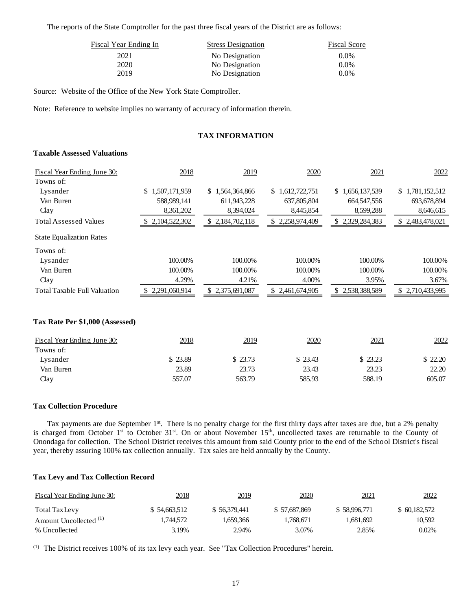The reports of the State Comptroller for the past three fiscal years of the District are as follows:

| Fiscal Year Ending In | <b>Stress Designation</b> | <b>Fiscal Score</b> |
|-----------------------|---------------------------|---------------------|
| 2021                  | No Designation            | $0.0\%$             |
| 2020                  | No Designation            | $0.0\%$             |
| 2019                  | No Designation            | $0.0\%$             |

Source: Website of the Office of the New York State Comptroller.

Note: Reference to website implies no warranty of accuracy of information therein.

# **TAX INFORMATION**

# **Taxable Assessed Valuations**

| Fiscal Year Ending June 30:         | 2018             | 2019                 | 2020            | 2021            | 2022                |
|-------------------------------------|------------------|----------------------|-----------------|-----------------|---------------------|
| Towns of:                           |                  |                      |                 |                 |                     |
| Lysander                            | \$1,507,171,959  | \$1,564,364,866      | \$1,612,722,751 | \$1,656,137,539 | \$1,781,152,512     |
| Van Buren                           | 588,989,141      | 611,943,228          | 637,805,804     | 664, 547, 556   | 693, 678, 894       |
| Clay                                | 8,361,202        | 8,394,024            | 8,445,854       | 8,599,288       | 8,646,615           |
| <b>Total Assessed Values</b>        | 2, 104, 522, 302 | \$2,184,702,118      | \$2,258,974,409 | \$2,329,284,383 | 2,483,478,021<br>S. |
| <b>State Equalization Rates</b>     |                  |                      |                 |                 |                     |
| Towns of:                           |                  |                      |                 |                 |                     |
| Lysander                            | 100.00%          | 100.00%              | 100.00%         | 100.00%         | 100.00%             |
| Van Buren                           | 100.00%          | 100.00%              | 100.00%         | 100.00%         | 100.00%             |
| Clay                                | 4.29%            | 4.21%                | 4.00%           | 3.95%           | 3.67%               |
| <b>Total Taxable Full Valuation</b> | 2,291,060,914    | 2,375,691,087<br>\$. | \$2,461,674,905 | \$2,538,388,589 | \$2,710,433,995     |
|                                     |                  |                      |                 |                 |                     |

# **Tax Rate Per \$1,000 (Assessed)**

| Fiscal Year Ending June 30: | 2018    | 2019    | 2020     | 2021    | 2022    |
|-----------------------------|---------|---------|----------|---------|---------|
| Towns of:                   |         |         |          |         |         |
| Lysander                    | \$23.89 | \$23.73 | \$ 23.43 | \$23.23 | \$22.20 |
| Van Buren                   | 23.89   | 23.73   | 23.43    | 23.23   | 22.20   |
| Clav                        | 557.07  | 563.79  | 585.93   | 588.19  | 605.07  |

# **Tax Collection Procedure**

Tax payments are due September 1<sup>st</sup>. There is no penalty charge for the first thirty days after taxes are due, but a 2% penalty is charged from October 1<sup>st</sup> to October 31<sup>st</sup>. On or about November 15<sup>th</sup>, uncollected taxes are returnable to the County of Onondaga for collection. The School District receives this amount from said County prior to the end of the School District's fiscal year, thereby assuring 100% tax collection annually. Tax sales are held annually by the County.

# **Tax Levy and Tax Collection Record**

| Fiscal Year Ending June 30:       | 2018         | 2019         | 2020         | 2021         | 2022         |
|-----------------------------------|--------------|--------------|--------------|--------------|--------------|
| Total Tax Levy                    | \$54,663,512 | \$56,379,441 | \$57,687,869 | \$58,996,771 | \$60,182,572 |
| Amount Uncollected <sup>(1)</sup> | 1.744.572    | 1.659.366    | 1.768.671    | 1.681.692    | 10.592       |
| % Uncollected                     | 3.19%        | 2.94%        | 3.07%        | 2.85%        | $0.02\%$     |

(1) The District receives 100% of its tax levy each year. See "Tax Collection Procedures" herein.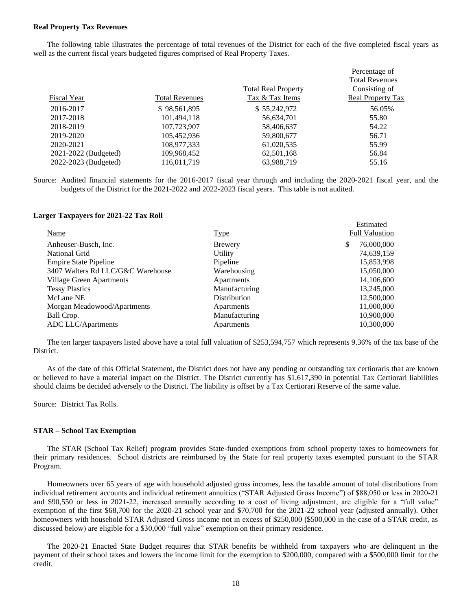# **Real Property Tax Revenues**

The following table illustrates the percentage of total revenues of the District for each of the five completed fiscal years as well as the current fiscal years budgeted figures comprised of Real Property Taxes.

|                      |                       |                            | Percentage of         |
|----------------------|-----------------------|----------------------------|-----------------------|
|                      |                       |                            | <b>Total Revenues</b> |
|                      |                       | <b>Total Real Property</b> | Consisting of         |
| Fiscal Year          | <b>Total Revenues</b> | Tax & Tax Items            | Real Property Tax     |
| 2016-2017            | \$98,561,895          | \$55,242,972               | 56.05%                |
| 2017-2018            | 101,494,118           | 56,634,701                 | 55.80                 |
| 2018-2019            | 107,723,907           | 58,406,637                 | 54.22                 |
| 2019-2020            | 105,452,936           | 59,800,677                 | 56.71                 |
| 2020-2021            | 108,977,333           | 61,020,535                 | 55.99                 |
| 2021-2022 (Budgeted) | 109,968,452           | 62,501,168                 | 56.84                 |
| 2022-2023 (Budgeted) | 116.011.719           | 63,988,719                 | 55.16                 |

Source: Audited financial statements for the 2016-2017 fiscal year through and including the 2020-2021 fiscal year, and the budgets of the District for the 2021-2022 and 2022-2023 fiscal years. This table is not audited.

# **Larger Taxpayers for 2021-22 Tax Roll**

| <b>Name</b>                       | <u>Type</u>   | Estimated<br><b>Full Valuation</b> |
|-----------------------------------|---------------|------------------------------------|
| Anheuser-Busch, Inc.              | Brewery       | 76,000,000<br>\$                   |
|                                   |               |                                    |
| National Grid                     | Utility       | 74,639,159                         |
| <b>Empire State Pipeline</b>      | Pipeline      | 15,853,998                         |
| 3407 Walters Rd LLC/G&C Warehouse | Warehousing   | 15,050,000                         |
| Village Green Apartments          | Apartments    | 14,106,600                         |
| <b>Tessy Plastics</b>             | Manufacturing | 13,245,000                         |
| McLane NE                         | Distribution  | 12,500,000                         |
| Morgan Meadowood/Apartments       | Apartments    | 11,000,000                         |
| Ball Crop.                        | Manufacturing | 10,900,000                         |
| ADC LLC/Apartments                | Apartments    | 10.300.000                         |

The ten larger taxpayers listed above have a total full valuation of \$253,594,757 which represents 9.36% of the tax base of the District.

As of the date of this Official Statement, the District does not have any pending or outstanding tax certioraris that are known or believed to have a material impact on the District. The District currently has \$1,617,390 in potential Tax Certiorari liabilities should claims be decided adversely to the District. The liability is offset by a Tax Certiorari Reserve of the same value.

Source: District Tax Rolls.

# **STAR – School Tax Exemption**

The STAR (School Tax Relief) program provides State-funded exemptions from school property taxes to homeowners for their primary residences. School districts are reimbursed by the State for real property taxes exempted pursuant to the STAR Program.

Homeowners over 65 years of age with household adjusted gross incomes, less the taxable amount of total distributions from individual retirement accounts and individual retirement annuities ("STAR Adjusted Gross Income") of \$88,050 or less in 2020-21 and \$90,550 or less in 2021-22, increased annually according to a cost of living adjustment, are eligible for a "full value" exemption of the first \$68,700 for the 2020-21 school year and \$70,700 for the 2021-22 school year (adjusted annually). Other homeowners with household STAR Adjusted Gross income not in excess of \$250,000 (\$500,000 in the case of a STAR credit, as discussed below) are eligible for a \$30,000 "full value" exemption on their primary residence.

The 2020-21 Enacted State Budget requires that STAR benefits be withheld from taxpayers who are delinquent in the payment of their school taxes and lowers the income limit for the exemption to \$200,000, compared with a \$500,000 limit for the credit.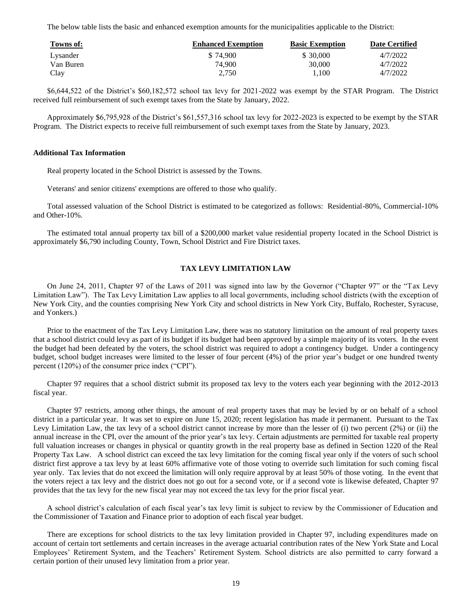The below table lists the basic and enhanced exemption amounts for the municipalities applicable to the District:

| Towns of: | <b>Enhanced Exemption</b> | <b>Basic Exemption</b> | <b>Date Certified</b> |
|-----------|---------------------------|------------------------|-----------------------|
| Lysander  | \$74.900                  | \$ 30,000              | 4/7/2022              |
| Van Buren | 74.900                    | 30,000                 | 4/7/2022              |
| Clay      | 2.750                     | 1.100                  | 4/7/2022              |

\$6,644,522 of the District's \$60,182,572 school tax levy for 2021-2022 was exempt by the STAR Program. The District received full reimbursement of such exempt taxes from the State by January, 2022.

Approximately \$6,795,928 of the District's \$61,557,316 school tax levy for 2022-2023 is expected to be exempt by the STAR Program. The District expects to receive full reimbursement of such exempt taxes from the State by January, 2023.

# **Additional Tax Information**

Real property located in the School District is assessed by the Towns.

Veterans' and senior citizens' exemptions are offered to those who qualify.

Total assessed valuation of the School District is estimated to be categorized as follows: Residential-80%, Commercial-10% and Other-10%.

The estimated total annual property tax bill of a \$200,000 market value residential property located in the School District is approximately \$6,790 including County, Town, School District and Fire District taxes.

# **TAX LEVY LIMITATION LAW**

On June 24, 2011, Chapter 97 of the Laws of 2011 was signed into law by the Governor ("Chapter 97" or the "Tax Levy Limitation Law"). The Tax Levy Limitation Law applies to all local governments, including school districts (with the exception of New York City, and the counties comprising New York City and school districts in New York City, Buffalo, Rochester, Syracuse, and Yonkers.)

Prior to the enactment of the Tax Levy Limitation Law, there was no statutory limitation on the amount of real property taxes that a school district could levy as part of its budget if its budget had been approved by a simple majority of its voters. In the event the budget had been defeated by the voters, the school district was required to adopt a contingency budget. Under a contingency budget, school budget increases were limited to the lesser of four percent (4%) of the prior year's budget or one hundred twenty percent (120%) of the consumer price index ("CPI").

Chapter 97 requires that a school district submit its proposed tax levy to the voters each year beginning with the 2012-2013 fiscal year.

Chapter 97 restricts, among other things, the amount of real property taxes that may be levied by or on behalf of a school district in a particular year. It was set to expire on June 15, 2020; recent legislation has made it permanent. Pursuant to the Tax Levy Limitation Law, the tax levy of a school district cannot increase by more than the lesser of (i) two percent (2%) or (ii) the annual increase in the CPI, over the amount of the prior year's tax levy. Certain adjustments are permitted for taxable real property full valuation increases or changes in physical or quantity growth in the real property base as defined in Section 1220 of the Real Property Tax Law. A school district can exceed the tax levy limitation for the coming fiscal year only if the voters of such school district first approve a tax levy by at least 60% affirmative vote of those voting to override such limitation for such coming fiscal year only. Tax levies that do not exceed the limitation will only require approval by at least 50% of those voting. In the event that the voters reject a tax levy and the district does not go out for a second vote, or if a second vote is likewise defeated, Chapter 97 provides that the tax levy for the new fiscal year may not exceed the tax levy for the prior fiscal year.

A school district's calculation of each fiscal year's tax levy limit is subject to review by the Commissioner of Education and the Commissioner of Taxation and Finance prior to adoption of each fiscal year budget.

There are exceptions for school districts to the tax levy limitation provided in Chapter 97, including expenditures made on account of certain tort settlements and certain increases in the average actuarial contribution rates of the New York State and Local Employees' Retirement System, and the Teachers' Retirement System. School districts are also permitted to carry forward a certain portion of their unused levy limitation from a prior year.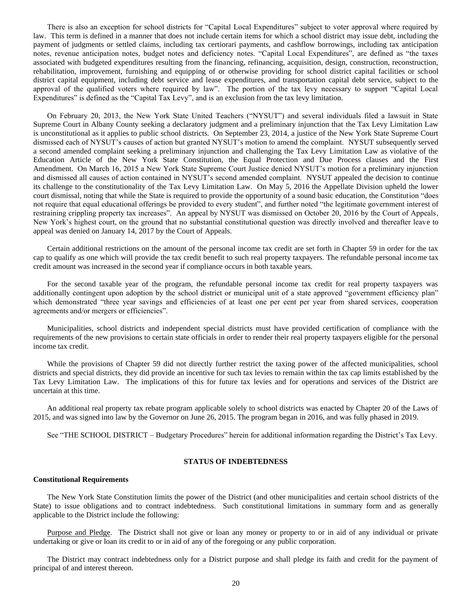There is also an exception for school districts for "Capital Local Expenditures" subject to voter approval where required by law. This term is defined in a manner that does not include certain items for which a school district may issue debt, including the payment of judgments or settled claims, including tax certiorari payments, and cashflow borrowings, including tax anticipation notes, revenue anticipation notes, budget notes and deficiency notes. "Capital Local Expenditures", are defined as "the taxes associated with budgeted expenditures resulting from the financing, refinancing, acquisition, design, construction, reconstruction, rehabilitation, improvement, furnishing and equipping of or otherwise providing for school district capital facilities or school district capital equipment, including debt service and lease expenditures, and transportation capital debt service, subject to the approval of the qualified voters where required by law". The portion of the tax levy necessary to support "Capital Local Expenditures" is defined as the "Capital Tax Levy", and is an exclusion from the tax levy limitation.

On February 20, 2013, the New York State United Teachers ("NYSUT") and several individuals filed a lawsuit in State Supreme Court in Albany County seeking a declaratory judgment and a preliminary injunction that the Tax Levy Limitation Law is unconstitutional as it applies to public school districts. On September 23, 2014, a justice of the New York State Supreme Court dismissed each of NYSUT's causes of action but granted NYSUT's motion to amend the complaint. NYSUT subsequently served a second amended complaint seeking a preliminary injunction and challenging the Tax Levy Limitation Law as violative of the Education Article of the New York State Constitution, the Equal Protection and Due Process clauses and the First Amendment. On March 16, 2015 a New York State Supreme Court Justice denied NYSUT's motion for a preliminary injunction and dismissed all causes of action contained in NYSUT's second amended complaint. NYSUT appealed the decision to continue its challenge to the constitutionality of the Tax Levy Limitation Law. On May 5, 2016 the Appellate Division upheld the lower court dismissal, noting that while the State is required to provide the opportunity of a sound basic education, the Constitution "does not require that equal educational offerings be provided to every student", and further noted "the legitimate government interest of restraining crippling property tax increases". An appeal by NYSUT was dismissed on October 20, 2016 by the Court of Appeals, New York's highest court, on the ground that no substantial constitutional question was directly involved and thereafter leave to appeal was denied on January 14, 2017 by the Court of Appeals.

Certain additional restrictions on the amount of the personal income tax credit are set forth in Chapter 59 in order for the tax cap to qualify as one which will provide the tax credit benefit to such real property taxpayers. The refundable personal income tax credit amount was increased in the second year if compliance occurs in both taxable years.

For the second taxable year of the program, the refundable personal income tax credit for real property taxpayers was additionally contingent upon adoption by the school district or municipal unit of a state approved "government efficiency plan" which demonstrated "three year savings and efficiencies of at least one per cent per year from shared services, cooperation agreements and/or mergers or efficiencies".

Municipalities, school districts and independent special districts must have provided certification of compliance with the requirements of the new provisions to certain state officials in order to render their real property taxpayers eligible for the personal income tax credit.

While the provisions of Chapter 59 did not directly further restrict the taxing power of the affected municipalities, school districts and special districts, they did provide an incentive for such tax levies to remain within the tax cap limits established by the Tax Levy Limitation Law. The implications of this for future tax levies and for operations and services of the District are uncertain at this time.

An additional real property tax rebate program applicable solely to school districts was enacted by Chapter 20 of the Laws of 2015, and was signed into law by the Governor on June 26, 2015. The program began in 2016, and was fully phased in 2019.

See "THE SCHOOL DISTRICT – Budgetary Procedures" herein for additional information regarding the District's Tax Levy.

# **STATUS OF INDEBTEDNESS**

## **Constitutional Requirements**

The New York State Constitution limits the power of the District (and other municipalities and certain school districts of the State) to issue obligations and to contract indebtedness. Such constitutional limitations in summary form and as generally applicable to the District include the following:

Purpose and Pledge. The District shall not give or loan any money or property to or in aid of any individual or private undertaking or give or loan its credit to or in aid of any of the foregoing or any public corporation.

The District may contract indebtedness only for a District purpose and shall pledge its faith and credit for the payment of principal of and interest thereon.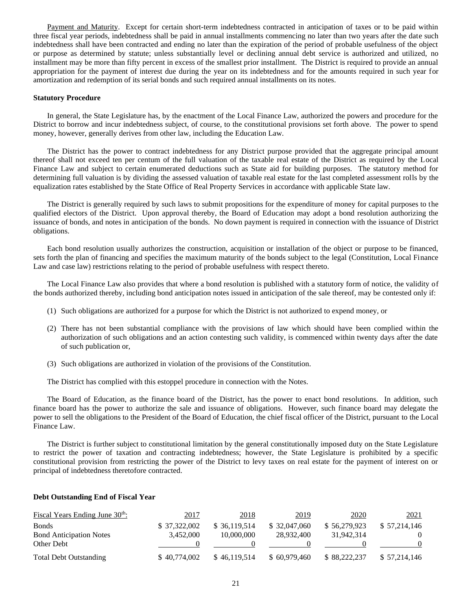Payment and Maturity. Except for certain short-term indebtedness contracted in anticipation of taxes or to be paid within three fiscal year periods, indebtedness shall be paid in annual installments commencing no later than two years after the date such indebtedness shall have been contracted and ending no later than the expiration of the period of probable usefulness of the object or purpose as determined by statute; unless substantially level or declining annual debt service is authorized and utilized, no installment may be more than fifty percent in excess of the smallest prior installment. The District is required to provide an annual appropriation for the payment of interest due during the year on its indebtedness and for the amounts required in such year for amortization and redemption of its serial bonds and such required annual installments on its notes.

# **Statutory Procedure**

In general, the State Legislature has, by the enactment of the Local Finance Law, authorized the powers and procedure for the District to borrow and incur indebtedness subject, of course, to the constitutional provisions set forth above. The power to spend money, however, generally derives from other law, including the Education Law.

The District has the power to contract indebtedness for any District purpose provided that the aggregate principal amount thereof shall not exceed ten per centum of the full valuation of the taxable real estate of the District as required by the Local Finance Law and subject to certain enumerated deductions such as State aid for building purposes. The statutory method for determining full valuation is by dividing the assessed valuation of taxable real estate for the last completed assessment rolls by the equalization rates established by the State Office of Real Property Services in accordance with applicable State law.

The District is generally required by such laws to submit propositions for the expenditure of money for capital purposes to the qualified electors of the District. Upon approval thereby, the Board of Education may adopt a bond resolution authorizing the issuance of bonds, and notes in anticipation of the bonds. No down payment is required in connection with the issuance of District obligations.

Each bond resolution usually authorizes the construction, acquisition or installation of the object or purpose to be financed, sets forth the plan of financing and specifies the maximum maturity of the bonds subject to the legal (Constitution, Local Finance Law and case law) restrictions relating to the period of probable usefulness with respect thereto.

The Local Finance Law also provides that where a bond resolution is published with a statutory form of notice, the validity of the bonds authorized thereby, including bond anticipation notes issued in anticipation of the sale thereof, may be contested only if:

- (1) Such obligations are authorized for a purpose for which the District is not authorized to expend money, or
- (2) There has not been substantial compliance with the provisions of law which should have been complied within the authorization of such obligations and an action contesting such validity, is commenced within twenty days after the date of such publication or,
- (3) Such obligations are authorized in violation of the provisions of the Constitution.

The District has complied with this estoppel procedure in connection with the Notes.

The Board of Education, as the finance board of the District, has the power to enact bond resolutions. In addition, such finance board has the power to authorize the sale and issuance of obligations. However, such finance board may delegate the power to sell the obligations to the President of the Board of Education, the chief fiscal officer of the District, pursuant to the Local Finance Law.

The District is further subject to constitutional limitation by the general constitutionally imposed duty on the State Legislature to restrict the power of taxation and contracting indebtedness; however, the State Legislature is prohibited by a specific constitutional provision from restricting the power of the District to levy taxes on real estate for the payment of interest on or principal of indebtedness theretofore contracted.

### **Debt Outstanding End of Fiscal Year**

| Fiscal Years Ending June 30 <sup>th</sup> : | 2017         | 2018          | 2019          | 2020         | 2021         |
|---------------------------------------------|--------------|---------------|---------------|--------------|--------------|
| <b>Bonds</b>                                | \$37,322,002 | \$ 36,119,514 | \$ 32,047,060 | \$56,279,923 | \$57,214,146 |
| <b>Bond Anticipation Notes</b>              | 3.452,000    | 10,000,000    | 28,932,400    | 31,942,314   |              |
| Other Debt                                  |              |               |               |              |              |
| <b>Total Debt Outstanding</b>               | \$40,774,002 | \$46,119,514  | \$60,979,460  | \$88,222,237 | \$57.214.146 |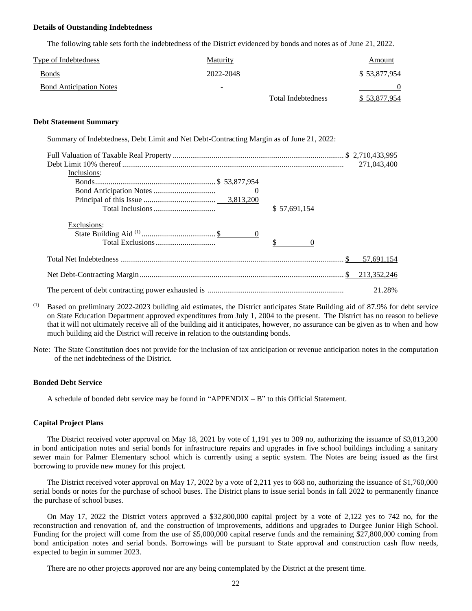# **Details of Outstanding Indebtedness**

The following table sets forth the indebtedness of the District evidenced by bonds and notes as of June 21, 2022.

| <b>Type of Indebtedness</b>    | <b>Maturity</b>          |                           | Amount       |
|--------------------------------|--------------------------|---------------------------|--------------|
| <b>Bonds</b>                   | 2022-2048                |                           | \$53,877,954 |
| <b>Bond Anticipation Notes</b> | $\overline{\phantom{0}}$ |                           |              |
|                                |                          | <b>Total Indebtedness</b> | \$53,877,954 |

# **Debt Statement Summary**

Summary of Indebtedness, Debt Limit and Net Debt-Contracting Margin as of June 21, 2022:

|             | 271,043,400  |
|-------------|--------------|
| Inclusions: |              |
|             |              |
|             |              |
|             |              |
|             | \$57,691,154 |
| Exclusions: |              |
|             |              |
|             |              |
|             | 57,691,154   |
|             |              |
|             | 21.28%       |

- (1) Based on preliminary 2022-2023 building aid estimates, the District anticipates State Building aid of 87.9% for debt service on State Education Department approved expenditures from July 1, 2004 to the present. The District has no reason to believe that it will not ultimately receive all of the building aid it anticipates, however, no assurance can be given as to when and how much building aid the District will receive in relation to the outstanding bonds.
- Note: The State Constitution does not provide for the inclusion of tax anticipation or revenue anticipation notes in the computation of the net indebtedness of the District.

### **Bonded Debt Service**

A schedule of bonded debt service may be found in "APPENDIX – B" to this Official Statement.

#### **Capital Project Plans**

The District received voter approval on May 18, 2021 by vote of 1,191 yes to 309 no, authorizing the issuance of \$3,813,200 in bond anticipation notes and serial bonds for infrastructure repairs and upgrades in five school buildings including a sanitary sewer main for Palmer Elementary school which is currently using a septic system. The Notes are being issued as the first borrowing to provide new money for this project.

The District received voter approval on May 17, 2022 by a vote of 2,211 yes to 668 no, authorizing the issuance of \$1,760,000 serial bonds or notes for the purchase of school buses. The District plans to issue serial bonds in fall 2022 to permanently finance the purchase of school buses.

On May 17, 2022 the District voters approved a \$32,800,000 capital project by a vote of 2,122 yes to 742 no, for the reconstruction and renovation of, and the construction of improvements, additions and upgrades to Durgee Junior High School. Funding for the project will come from the use of \$5,000,000 capital reserve funds and the remaining \$27,800,000 coming from bond anticipation notes and serial bonds. Borrowings will be pursuant to State approval and construction cash flow needs, expected to begin in summer 2023.

There are no other projects approved nor are any being contemplated by the District at the present time.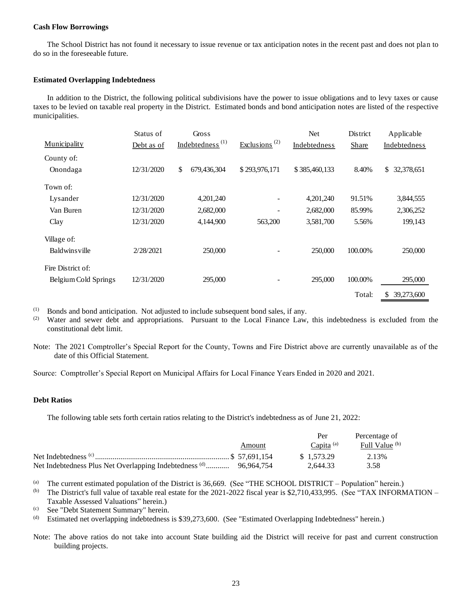# **Cash Flow Borrowings**

The School District has not found it necessary to issue revenue or tax anticipation notes in the recent past and does not plan to do so in the foreseeable future.

# **Estimated Overlapping Indebtedness**

In addition to the District, the following political subdivisions have the power to issue obligations and to levy taxes or cause taxes to be levied on taxable real property in the District. Estimated bonds and bond anticipation notes are listed of the respective municipalities.

|                      | Status of  | Gross             |                           | Net           | District | Applicable       |
|----------------------|------------|-------------------|---------------------------|---------------|----------|------------------|
| Municipality         | Debt as of | $Indebtedness(1)$ | Exclusions <sup>(2)</sup> | Indebtedness  | Share    | Indebtedness     |
| County of:           |            |                   |                           |               |          |                  |
| Onondaga             | 12/31/2020 | \$<br>679,436,304 | \$293,976,171             | \$385,460,133 | 8.40%    | \$<br>32,378,651 |
| Town of:             |            |                   |                           |               |          |                  |
| Lysander             | 12/31/2020 | 4,201,240         | -                         | 4,201,240     | 91.51%   | 3,844,555        |
| Van Buren            | 12/31/2020 | 2,682,000         |                           | 2,682,000     | 85.99%   | 2,306,252        |
| Clay                 | 12/31/2020 | 4,144,900         | 563,200                   | 3,581,700     | 5.56%    | 199,143          |
| Village of:          |            |                   |                           |               |          |                  |
| <b>Baldwinsville</b> | 2/28/2021  | 250,000           |                           | 250,000       | 100.00%  | 250,000          |
| Fire District of:    |            |                   |                           |               |          |                  |
| Belgium Cold Springs | 12/31/2020 | 295,000           |                           | 295,000       | 100.00%  | 295,000          |
|                      |            |                   |                           |               | Total:   | \$<br>39,273,600 |

 $(1)$  Bonds and bond anticipation. Not adjusted to include subsequent bond sales, if any.

(2) Water and sewer debt and appropriations. Pursuant to the Local Finance Law, this indebtedness is excluded from the constitutional debt limit.

Note: The 2021 Comptroller's Special Report for the County, Towns and Fire District above are currently unavailable as of the date of this Official Statement.

Source: Comptroller's Special Report on Municipal Affairs for Local Finance Years Ended in 2020 and 2021.

# **Debt Ratios**

The following table sets forth certain ratios relating to the District's indebtedness as of June 21, 2022:

|                      |        | Per             | Percentage of  |
|----------------------|--------|-----------------|----------------|
|                      | Amount | Capita $^{(a)}$ | Full Value (b) |
| Net Indebtedness (c) |        | \$1.573.29      | 2.13%          |
|                      |        | 2.644.33        | 3.58           |

(a) The current estimated population of the District is 36,669. (See "THE SCHOOL DISTRICT – Population" herein.)

(b) The District's full value of taxable real estate for the 2021-2022 fiscal year is \$2,710,433,995. (See "TAX INFORMATION – Taxable Assessed Valuations" herein.)

(c) See "Debt Statement Summary" herein.

(d) Estimated net overlapping indebtedness is \$39,273,600. (See "Estimated Overlapping Indebtedness" herein.)

Note: The above ratios do not take into account State building aid the District will receive for past and current construction building projects.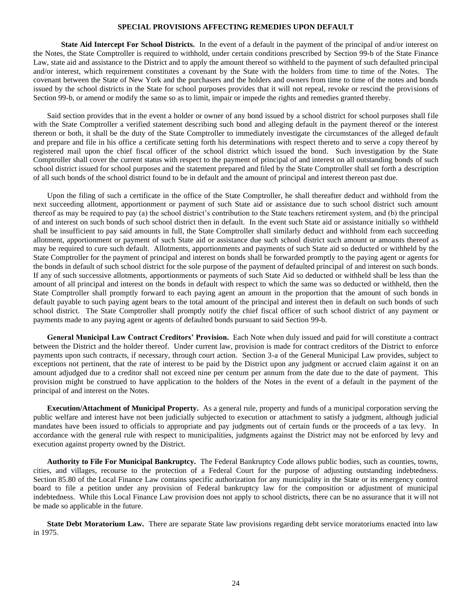# **SPECIAL PROVISIONS AFFECTING REMEDIES UPON DEFAULT**

**State Aid Intercept For School Districts.** In the event of a default in the payment of the principal of and/or interest on the Notes, the State Comptroller is required to withhold, under certain conditions prescribed by Section 99-b of the State Finance Law, state aid and assistance to the District and to apply the amount thereof so withheld to the payment of such defaulted principal and/or interest, which requirement constitutes a covenant by the State with the holders from time to time of the Notes. The covenant between the State of New York and the purchasers and the holders and owners from time to time of the notes and bonds issued by the school districts in the State for school purposes provides that it will not repeal, revoke or rescind the provisions of Section 99-b, or amend or modify the same so as to limit, impair or impede the rights and remedies granted thereby.

Said section provides that in the event a holder or owner of any bond issued by a school district for school purposes shall file with the State Comptroller a verified statement describing such bond and alleging default in the payment thereof or the interest thereon or both, it shall be the duty of the State Comptroller to immediately investigate the circumstances of the alleged default and prepare and file in his office a certificate setting forth his determinations with respect thereto and to serve a copy thereof by registered mail upon the chief fiscal officer of the school district which issued the bond. Such investigation by the State Comptroller shall cover the current status with respect to the payment of principal of and interest on all outstanding bonds of such school district issued for school purposes and the statement prepared and filed by the State Comptroller shall set forth a description of all such bonds of the school district found to be in default and the amount of principal and interest thereon past due.

Upon the filing of such a certificate in the office of the State Comptroller, he shall thereafter deduct and withhold from the next succeeding allotment, apportionment or payment of such State aid or assistance due to such school district such amount thereof as may be required to pay (a) the school district's contribution to the State teachers retirement system, and (b) the principal of and interest on such bonds of such school district then in default. In the event such State aid or assistance initially so withheld shall be insufficient to pay said amounts in full, the State Comptroller shall similarly deduct and withhold from each succeeding allotment, apportionment or payment of such State aid or assistance due such school district such amount or amounts thereof as may be required to cure such default. Allotments, apportionments and payments of such State aid so deducted or withheld by the State Comptroller for the payment of principal and interest on bonds shall be forwarded promptly to the paying agent or agents for the bonds in default of such school district for the sole purpose of the payment of defaulted principal of and interest on such bonds. If any of such successive allotments, apportionments or payments of such State Aid so deducted or withheld shall be less than the amount of all principal and interest on the bonds in default with respect to which the same was so deducted or withheld, then the State Comptroller shall promptly forward to each paying agent an amount in the proportion that the amount of such bonds in default payable to such paying agent bears to the total amount of the principal and interest then in default on such bonds of such school district. The State Comptroller shall promptly notify the chief fiscal officer of such school district of any payment or payments made to any paying agent or agents of defaulted bonds pursuant to said Section 99-b.

**General Municipal Law Contract Creditors' Provision.** Each Note when duly issued and paid for will constitute a contract between the District and the holder thereof. Under current law, provision is made for contract creditors of the District to enforce payments upon such contracts, if necessary, through court action. Section 3-a of the General Municipal Law provides, subject to exceptions not pertinent, that the rate of interest to be paid by the District upon any judgment or accrued claim against it on an amount adjudged due to a creditor shall not exceed nine per centum per annum from the date due to the date of payment. This provision might be construed to have application to the holders of the Notes in the event of a default in the payment of the principal of and interest on the Notes.

**Execution/Attachment of Municipal Property.** As a general rule, property and funds of a municipal corporation serving the public welfare and interest have not been judicially subjected to execution or attachment to satisfy a judgment, although judicial mandates have been issued to officials to appropriate and pay judgments out of certain funds or the proceeds of a tax levy. In accordance with the general rule with respect to municipalities, judgments against the District may not be enforced by levy and execution against property owned by the District.

**Authority to File For Municipal Bankruptcy.** The Federal Bankruptcy Code allows public bodies, such as counties, towns, cities, and villages, recourse to the protection of a Federal Court for the purpose of adjusting outstanding indebtedness. Section 85.80 of the Local Finance Law contains specific authorization for any municipality in the State or its emergency control board to file a petition under any provision of Federal bankruptcy law for the composition or adjustment of municipal indebtedness. While this Local Finance Law provision does not apply to school districts, there can be no assurance that it will not be made so applicable in the future.

**State Debt Moratorium Law.** There are separate State law provisions regarding debt service moratoriums enacted into law in 1975.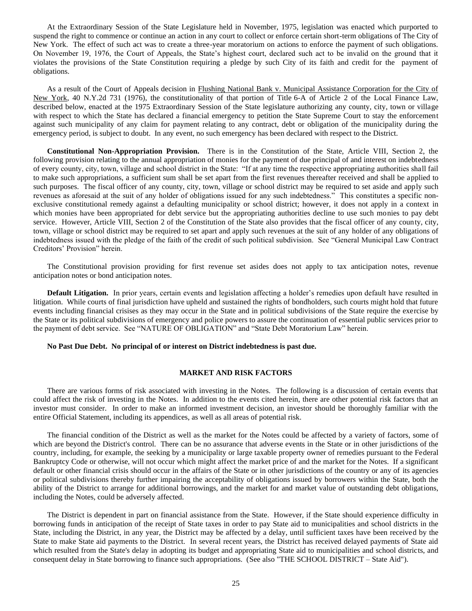At the Extraordinary Session of the State Legislature held in November, 1975, legislation was enacted which purported to suspend the right to commence or continue an action in any court to collect or enforce certain short-term obligations of The City of New York. The effect of such act was to create a three-year moratorium on actions to enforce the payment of such obligations. On November 19, 1976, the Court of Appeals, the State's highest court, declared such act to be invalid on the ground that it violates the provisions of the State Constitution requiring a pledge by such City of its faith and credit for the payment of obligations.

As a result of the Court of Appeals decision in Flushing National Bank v. Municipal Assistance Corporation for the City of New York, 40 N.Y.2d 731 (1976), the constitutionality of that portion of Title 6-A of Article 2 of the Local Finance Law, described below, enacted at the 1975 Extraordinary Session of the State legislature authorizing any county, city, town or village with respect to which the State has declared a financial emergency to petition the State Supreme Court to stay the enforcement against such municipality of any claim for payment relating to any contract, debt or obligation of the municipality during the emergency period, is subject to doubt. In any event, no such emergency has been declared with respect to the District.

**Constitutional Non-Appropriation Provision.** There is in the Constitution of the State, Article VIII, Section 2, the following provision relating to the annual appropriation of monies for the payment of due principal of and interest on indebtedness of every county, city, town, village and school district in the State: "If at any time the respective appropriating authorities shall fail to make such appropriations, a sufficient sum shall be set apart from the first revenues thereafter received and shall be applied to such purposes. The fiscal officer of any county, city, town, village or school district may be required to set aside and apply such revenues as aforesaid at the suit of any holder of obligations issued for any such indebtedness." This constitutes a specific nonexclusive constitutional remedy against a defaulting municipality or school district; however, it does not apply in a context in which monies have been appropriated for debt service but the appropriating authorities decline to use such monies to pay debt service. However, Article VIII, Section 2 of the Constitution of the State also provides that the fiscal officer of any county, city, town, village or school district may be required to set apart and apply such revenues at the suit of any holder of any obligations of indebtedness issued with the pledge of the faith of the credit of such political subdivision. See "General Municipal Law Contract Creditors' Provision" herein.

The Constitutional provision providing for first revenue set asides does not apply to tax anticipation notes, revenue anticipation notes or bond anticipation notes.

**Default Litigation.** In prior years, certain events and legislation affecting a holder's remedies upon default have resulted in litigation. While courts of final jurisdiction have upheld and sustained the rights of bondholders, such courts might hold that future events including financial crisises as they may occur in the State and in political subdivisions of the State require the exercise by the State or its political subdivisions of emergency and police powers to assure the continuation of essential public services prior to the payment of debt service. See "NATURE OF OBLIGATION" and "State Debt Moratorium Law" herein.

#### **No Past Due Debt. No principal of or interest on District indebtedness is past due.**

# **MARKET AND RISK FACTORS**

There are various forms of risk associated with investing in the Notes. The following is a discussion of certain events that could affect the risk of investing in the Notes. In addition to the events cited herein, there are other potential risk factors that an investor must consider. In order to make an informed investment decision, an investor should be thoroughly familiar with the entire Official Statement, including its appendices, as well as all areas of potential risk.

The financial condition of the District as well as the market for the Notes could be affected by a variety of factors, some of which are beyond the District's control. There can be no assurance that adverse events in the State or in other jurisdictions of the country, including, for example, the seeking by a municipality or large taxable property owner of remedies pursuant to the Federal Bankruptcy Code or otherwise, will not occur which might affect the market price of and the market for the Notes. If a significant default or other financial crisis should occur in the affairs of the State or in other jurisdictions of the country or any of its agencies or political subdivisions thereby further impairing the acceptability of obligations issued by borrowers within the State, both the ability of the District to arrange for additional borrowings, and the market for and market value of outstanding debt obligations, including the Notes, could be adversely affected.

The District is dependent in part on financial assistance from the State. However, if the State should experience difficulty in borrowing funds in anticipation of the receipt of State taxes in order to pay State aid to municipalities and school districts in the State, including the District, in any year, the District may be affected by a delay, until sufficient taxes have been received by the State to make State aid payments to the District. In several recent years, the District has received delayed payments of State aid which resulted from the State's delay in adopting its budget and appropriating State aid to municipalities and school districts, and consequent delay in State borrowing to finance such appropriations. (See also "THE SCHOOL DISTRICT – State Aid").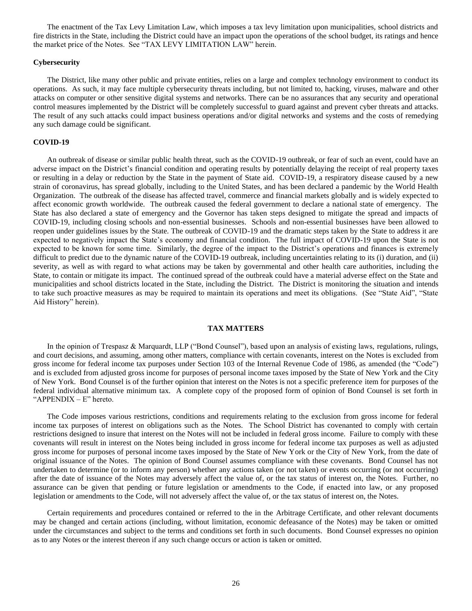The enactment of the Tax Levy Limitation Law, which imposes a tax levy limitation upon municipalities, school districts and fire districts in the State, including the District could have an impact upon the operations of the school budget, its ratings and hence the market price of the Notes. See "TAX LEVY LIMITATION LAW" herein.

# **Cybersecurity**

The District, like many other public and private entities, relies on a large and complex technology environment to conduct its operations. As such, it may face multiple cybersecurity threats including, but not limited to, hacking, viruses, malware and other attacks on computer or other sensitive digital systems and networks. There can be no assurances that any security and operational control measures implemented by the District will be completely successful to guard against and prevent cyber threats and attacks. The result of any such attacks could impact business operations and/or digital networks and systems and the costs of remedying any such damage could be significant.

# **COVID-19**

An outbreak of disease or similar public health threat, such as the COVID-19 outbreak, or fear of such an event, could have an adverse impact on the District's financial condition and operating results by potentially delaying the receipt of real property taxes or resulting in a delay or reduction by the State in the payment of State aid. COVID-19, a respiratory disease caused by a new strain of coronavirus, has spread globally, including to the United States, and has been declared a pandemic by the World Health Organization. The outbreak of the disease has affected travel, commerce and financial markets globally and is widely expected to affect economic growth worldwide. The outbreak caused the federal government to declare a national state of emergency. The State has also declared a state of emergency and the Governor has taken steps designed to mitigate the spread and impacts of COVID-19, including closing schools and non-essential businesses. Schools and non-essential businesses have been allowed to reopen under guidelines issues by the State. The outbreak of COVID-19 and the dramatic steps taken by the State to address it are expected to negatively impact the State's economy and financial condition. The full impact of COVID-19 upon the State is not expected to be known for some time. Similarly, the degree of the impact to the District's operations and finances is extremely difficult to predict due to the dynamic nature of the COVID-19 outbreak, including uncertainties relating to its (i) duration, and (ii) severity, as well as with regard to what actions may be taken by governmental and other health care authorities, including the State, to contain or mitigate its impact. The continued spread of the outbreak could have a material adverse effect on the State and municipalities and school districts located in the State, including the District. The District is monitoring the situation and intends to take such proactive measures as may be required to maintain its operations and meet its obligations. (See "State Aid", "State Aid History" herein).

# **TAX MATTERS**

In the opinion of Trespasz & Marquardt, LLP ("Bond Counsel"), based upon an analysis of existing laws, regulations, rulings, and court decisions, and assuming, among other matters, compliance with certain covenants, interest on the Notes is excluded from gross income for federal income tax purposes under Section 103 of the Internal Revenue Code of 1986, as amended (the "Code") and is excluded from adjusted gross income for purposes of personal income taxes imposed by the State of New York and the City of New York. Bond Counsel is of the further opinion that interest on the Notes is not a specific preference item for purposes of the federal individual alternative minimum tax. A complete copy of the proposed form of opinion of Bond Counsel is set forth in "APPENDIX – E" hereto.

The Code imposes various restrictions, conditions and requirements relating to the exclusion from gross income for federal income tax purposes of interest on obligations such as the Notes. The School District has covenanted to comply with certain restrictions designed to insure that interest on the Notes will not be included in federal gross income. Failure to comply with these covenants will result in interest on the Notes being included in gross income for federal income tax purposes as well as adjusted gross income for purposes of personal income taxes imposed by the State of New York or the City of New York, from the date of original issuance of the Notes. The opinion of Bond Counsel assumes compliance with these covenants. Bond Counsel has not undertaken to determine (or to inform any person) whether any actions taken (or not taken) or events occurring (or not occurring) after the date of issuance of the Notes may adversely affect the value of, or the tax status of interest on, the Notes. Further, no assurance can be given that pending or future legislation or amendments to the Code, if enacted into law, or any proposed legislation or amendments to the Code, will not adversely affect the value of, or the tax status of interest on, the Notes.

Certain requirements and procedures contained or referred to the in the Arbitrage Certificate, and other relevant documents may be changed and certain actions (including, without limitation, economic defeasance of the Notes) may be taken or omitted under the circumstances and subject to the terms and conditions set forth in such documents. Bond Counsel expresses no opinion as to any Notes or the interest thereon if any such change occurs or action is taken or omitted.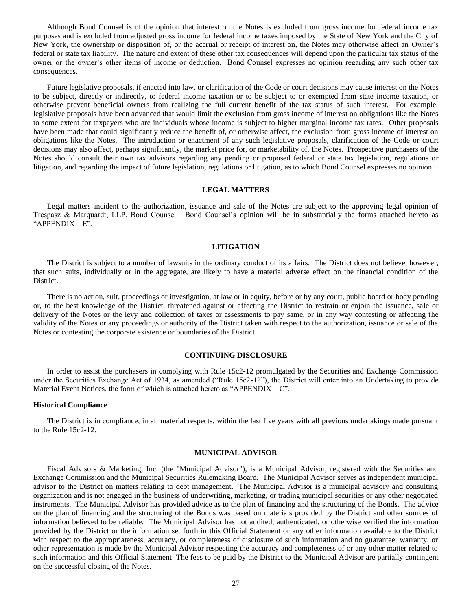Although Bond Counsel is of the opinion that interest on the Notes is excluded from gross income for federal income tax purposes and is excluded from adjusted gross income for federal income taxes imposed by the State of New York and the City of New York, the ownership or disposition of, or the accrual or receipt of interest on, the Notes may otherwise affect an Owner's federal or state tax liability. The nature and extent of these other tax consequences will depend upon the particular tax status of the owner or the owner's other items of income or deduction. Bond Counsel expresses no opinion regarding any such other tax consequences.

Future legislative proposals, if enacted into law, or clarification of the Code or court decisions may cause interest on the Notes to be subject, directly or indirectly, to federal income taxation or to be subject to or exempted from state income taxation, or otherwise prevent beneficial owners from realizing the full current benefit of the tax status of such interest. For example, legislative proposals have been advanced that would limit the exclusion from gross income of interest on obligations like the Notes to some extent for taxpayers who are individuals whose income is subject to higher marginal income tax rates. Other proposals have been made that could significantly reduce the benefit of, or otherwise affect, the exclusion from gross income of interest on obligations like the Notes. The introduction or enactment of any such legislative proposals, clarification of the Code or court decisions may also affect, perhaps significantly, the market price for, or marketability of, the Notes. Prospective purchasers of the Notes should consult their own tax advisors regarding any pending or proposed federal or state tax legislation, regulations or litigation, and regarding the impact of future legislation, regulations or litigation, as to which Bond Counsel expresses no opinion.

# **LEGAL MATTERS**

Legal matters incident to the authorization, issuance and sale of the Notes are subject to the approving legal opinion of Trespasz & Marquardt, LLP, Bond Counsel. Bond Counsel's opinion will be in substantially the forms attached hereto as "APPENDIX – E".

# **LITIGATION**

The District is subject to a number of lawsuits in the ordinary conduct of its affairs. The District does not believe, however, that such suits, individually or in the aggregate, are likely to have a material adverse effect on the financial condition of the District.

There is no action, suit, proceedings or investigation, at law or in equity, before or by any court, public board or body pending or, to the best knowledge of the District, threatened against or affecting the District to restrain or enjoin the issuance, sale or delivery of the Notes or the levy and collection of taxes or assessments to pay same, or in any way contesting or affecting the validity of the Notes or any proceedings or authority of the District taken with respect to the authorization, issuance or sale of the Notes or contesting the corporate existence or boundaries of the District.

# **CONTINUING DISCLOSURE**

In order to assist the purchasers in complying with Rule 15c2-12 promulgated by the Securities and Exchange Commission under the Securities Exchange Act of 1934, as amended ("Rule 15c2-12"), the District will enter into an Undertaking to provide Material Event Notices, the form of which is attached hereto as "APPENDIX  $-C$ ".

#### **Historical Compliance**

The District is in compliance, in all material respects, within the last five years with all previous undertakings made pursuant to the Rule 15c2-12.

#### **MUNICIPAL ADVISOR**

Fiscal Advisors & Marketing, Inc. (the "Municipal Advisor"), is a Municipal Advisor, registered with the Securities and Exchange Commission and the Municipal Securities Rulemaking Board. The Municipal Advisor serves as independent municipal advisor to the District on matters relating to debt management. The Municipal Advisor is a municipal advisory and consulting organization and is not engaged in the business of underwriting, marketing, or trading municipal securities or any other negotiated instruments. The Municipal Advisor has provided advice as to the plan of financing and the structuring of the Bonds. The advice on the plan of financing and the structuring of the Bonds was based on materials provided by the District and other sources of information believed to be reliable. The Municipal Advisor has not audited, authenticated, or otherwise verified the information provided by the District or the information set forth in this Official Statement or any other information available to the District with respect to the appropriateness, accuracy, or completeness of disclosure of such information and no guarantee, warranty, or other representation is made by the Municipal Advisor respecting the accuracy and completeness of or any other matter related to such information and this Official Statement The fees to be paid by the District to the Municipal Advisor are partially contingent on the successful closing of the Notes.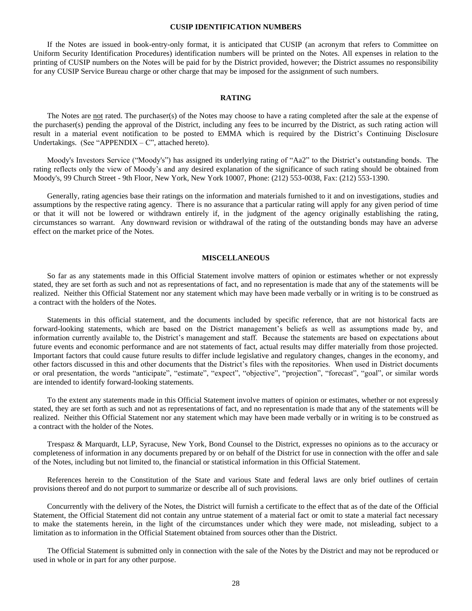# **CUSIP IDENTIFICATION NUMBERS**

If the Notes are issued in book-entry-only format, it is anticipated that CUSIP (an acronym that refers to Committee on Uniform Security Identification Procedures) identification numbers will be printed on the Notes. All expenses in relation to the printing of CUSIP numbers on the Notes will be paid for by the District provided, however; the District assumes no responsibility for any CUSIP Service Bureau charge or other charge that may be imposed for the assignment of such numbers.

# **RATING**

The Notes are not rated. The purchaser(s) of the Notes may choose to have a rating completed after the sale at the expense of the purchaser(s) pending the approval of the District, including any fees to be incurred by the District, as such rating action will result in a material event notification to be posted to EMMA which is required by the District's Continuing Disclosure Undertakings. (See "APPENDIX –  $C$ ", attached hereto).

Moody's Investors Service ("Moody's") has assigned its underlying rating of "Aa2" to the District's outstanding bonds. The rating reflects only the view of Moody's and any desired explanation of the significance of such rating should be obtained from Moody's, 99 Church Street - 9th Floor, New York, New York 10007, Phone: (212) 553-0038, Fax: (212) 553-1390.

Generally, rating agencies base their ratings on the information and materials furnished to it and on investigations, studies and assumptions by the respective rating agency. There is no assurance that a particular rating will apply for any given period of time or that it will not be lowered or withdrawn entirely if, in the judgment of the agency originally establishing the rating, circumstances so warrant. Any downward revision or withdrawal of the rating of the outstanding bonds may have an adverse effect on the market price of the Notes.

### **MISCELLANEOUS**

So far as any statements made in this Official Statement involve matters of opinion or estimates whether or not expressly stated, they are set forth as such and not as representations of fact, and no representation is made that any of the statements will be realized. Neither this Official Statement nor any statement which may have been made verbally or in writing is to be construed as a contract with the holders of the Notes.

Statements in this official statement, and the documents included by specific reference, that are not historical facts are forward-looking statements, which are based on the District management's beliefs as well as assumptions made by, and information currently available to, the District's management and staff. Because the statements are based on expectations about future events and economic performance and are not statements of fact, actual results may differ materially from those projected. Important factors that could cause future results to differ include legislative and regulatory changes, changes in the economy, and other factors discussed in this and other documents that the District's files with the repositories. When used in District documents or oral presentation, the words "anticipate", "estimate", "expect", "objective", "projection", "forecast", "goal", or similar words are intended to identify forward-looking statements.

To the extent any statements made in this Official Statement involve matters of opinion or estimates, whether or not expressly stated, they are set forth as such and not as representations of fact, and no representation is made that any of the statements will be realized. Neither this Official Statement nor any statement which may have been made verbally or in writing is to be construed as a contract with the holder of the Notes.

Trespasz & Marquardt, LLP, Syracuse, New York, Bond Counsel to the District, expresses no opinions as to the accuracy or completeness of information in any documents prepared by or on behalf of the District for use in connection with the offer and sale of the Notes, including but not limited to, the financial or statistical information in this Official Statement.

References herein to the Constitution of the State and various State and federal laws are only brief outlines of certain provisions thereof and do not purport to summarize or describe all of such provisions.

Concurrently with the delivery of the Notes, the District will furnish a certificate to the effect that as of the date of the Official Statement, the Official Statement did not contain any untrue statement of a material fact or omit to state a material fact necessary to make the statements herein, in the light of the circumstances under which they were made, not misleading, subject to a limitation as to information in the Official Statement obtained from sources other than the District.

The Official Statement is submitted only in connection with the sale of the Notes by the District and may not be reproduced or used in whole or in part for any other purpose.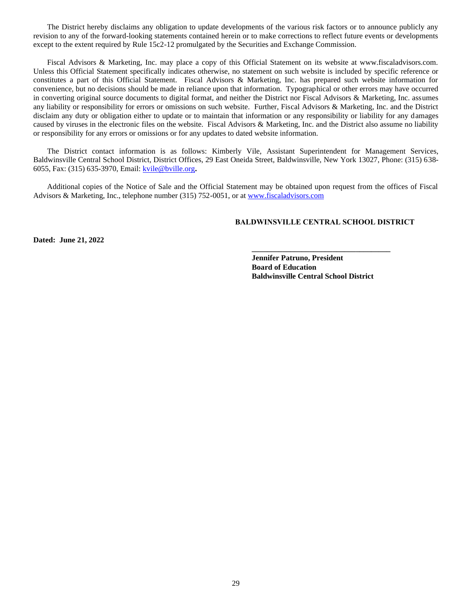The District hereby disclaims any obligation to update developments of the various risk factors or to announce publicly any revision to any of the forward-looking statements contained herein or to make corrections to reflect future events or developments except to the extent required by Rule 15c2-12 promulgated by the Securities and Exchange Commission.

Fiscal Advisors & Marketing, Inc. may place a copy of this Official Statement on its website at www.fiscaladvisors.com. Unless this Official Statement specifically indicates otherwise, no statement on such website is included by specific reference or constitutes a part of this Official Statement. Fiscal Advisors & Marketing, Inc. has prepared such website information for convenience, but no decisions should be made in reliance upon that information. Typographical or other errors may have occurred in converting original source documents to digital format, and neither the District nor Fiscal Advisors & Marketing, Inc. assumes any liability or responsibility for errors or omissions on such website. Further, Fiscal Advisors & Marketing, Inc. and the District disclaim any duty or obligation either to update or to maintain that information or any responsibility or liability for any damages caused by viruses in the electronic files on the website. Fiscal Advisors & Marketing, Inc. and the District also assume no liability or responsibility for any errors or omissions or for any updates to dated website information.

The District contact information is as follows: Kimberly Vile, Assistant Superintendent for Management Services, Baldwinsville Central School District, District Offices, 29 East Oneida Street, Baldwinsville, New York 13027, Phone: (315) 638- 6055, Fax: (315) 635-3970, Email: [kvile@bville.org](mailto:kvile@bville.org)**.**

Additional copies of the Notice of Sale and the Official Statement may be obtained upon request from the offices of Fiscal Advisors & Marketing, Inc., telephone number (315) 752-0051, or a[t www.fiscaladvisors.com](http://www.fiscaladvisors.com/)

# **BALDWINSVILLE CENTRAL SCHOOL DISTRICT**

**\_\_\_\_\_\_\_\_\_\_\_\_\_\_\_\_\_\_\_\_\_\_\_\_\_\_\_\_\_\_\_\_\_\_\_\_**

**Dated: June 21, 2022**

**Jennifer Patruno, President Board of Education Baldwinsville Central School District**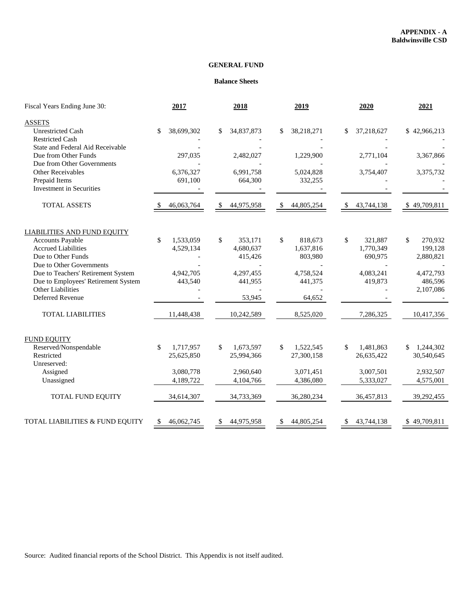# **GENERAL FUND**

# **Balance Sheets**

| Fiscal Years Ending June 30:                                                                          | 2017                          | 2018                                  | 2019                                            | 2020                                  | 2021                                  |  |
|-------------------------------------------------------------------------------------------------------|-------------------------------|---------------------------------------|-------------------------------------------------|---------------------------------------|---------------------------------------|--|
| <b>ASSETS</b><br><b>Unrestricted Cash</b><br><b>Restricted Cash</b>                                   | 38,699,302<br>\$              | 34,837,873<br>S                       | 38,218,271<br>\$                                | 37,218,627<br>\$                      | \$42,966,213                          |  |
| State and Federal Aid Receivable<br>Due from Other Funds<br>Due from Other Governments                | 297,035                       | 2,482,027                             | 1,229,900                                       | 2,771,104                             | 3,367,866                             |  |
| <b>Other Receivables</b><br>Prepaid Items<br>Investment in Securities                                 | 6,376,327<br>691,100          | 6,991,758<br>664,300                  | 5,024,828<br>332,255                            | 3,754,407                             | 3,375,732                             |  |
| <b>TOTAL ASSETS</b>                                                                                   | 46,063,764                    | 44,975,958<br>S                       | 44,805,254<br>\$                                | 43,744,138<br>\$                      | \$49,709,811                          |  |
| <b>LIABILITIES AND FUND EQUITY</b>                                                                    |                               |                                       |                                                 |                                       |                                       |  |
| <b>Accounts Payable</b><br><b>Accrued Liabilities</b><br>Due to Other Funds                           | \$<br>1,533,059<br>4,529,134  | \$<br>353,171<br>4,680,637<br>415,426 | $\mathbb{S}$<br>818,673<br>1,637,816<br>803,980 | \$<br>321,887<br>1,770,349<br>690,975 | \$<br>270,932<br>199,128<br>2,880,821 |  |
| Due to Other Governments<br>Due to Teachers' Retirement System<br>Due to Employees' Retirement System | 4,942,705<br>443,540          | 4,297,455<br>441,955                  | 4,758,524<br>441,375                            | 4,083,241<br>419,873                  | 4,472,793<br>486,596                  |  |
| Other Liabilities<br>Deferred Revenue                                                                 |                               | 53,945                                | 64,652                                          |                                       | 2,107,086                             |  |
| <b>TOTAL LIABILITIES</b>                                                                              | 11,448,438                    | 10,242,589                            | 8,525,020                                       | 7,286,325                             | 10,417,356                            |  |
| <b>FUND EQUITY</b><br>Reserved/Nonspendable<br>Restricted                                             | 1,717,957<br>\$<br>25,625,850 | 1,673,597<br>\$<br>25,994,366         | \$<br>1,522,545<br>27,300,158                   | \$<br>1,481,863<br>26,635,422         | 1,244,302<br>\$<br>30,540,645         |  |
| Unreserved:<br>Assigned<br>Unassigned                                                                 | 3,080,778<br>4,189,722        | 2,960,640<br>4,104,766                | 3,071,451<br>4,386,080                          | 3,007,501<br>5,333,027                | 2,932,507<br>4,575,001                |  |
| TOTAL FUND EQUITY                                                                                     | 34,614,307                    | 34,733,369                            | 36,280,234                                      | 36,457,813                            | 39,292,455                            |  |
| TOTAL LIABILITIES & FUND EQUITY                                                                       | 46,062,745<br><sup>\$</sup>   | 44,975,958<br>\$                      | 44,805,254<br>\$                                | 43,744,138<br>\$                      | \$49,709,811                          |  |

Source: Audited financial reports of the School District. This Appendix is not itself audited.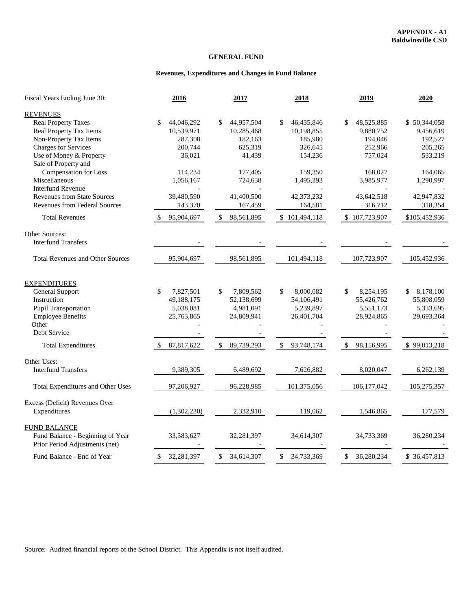# **GENERAL FUND**

# **Revenues, Expenditures and Changes in Fund Balance**

| Fiscal Years Ending June 30:            | 2016             | 2017             | 2018                       | 2019                       | 2020            |
|-----------------------------------------|------------------|------------------|----------------------------|----------------------------|-----------------|
| <b>REVENUES</b>                         |                  |                  |                            |                            |                 |
| <b>Real Property Taxes</b>              | \$<br>44,046,292 | \$<br>44,957,504 | \$<br>46,435,846           | \$<br>48,525,885           | \$50,344,058    |
| Real Property Tax Items                 | 10,539,971       | 10,285,468       | 10,198,855                 | 9,880,752                  | 9,456,619       |
| Non-Property Tax Items                  | 287,308          | 182,163          | 185,980                    | 194,046                    | 192,527         |
| <b>Charges for Services</b>             | 200,744          | 625,319          | 326,645                    | 252,966                    | 205,265         |
| Use of Money & Property                 | 36,021           | 41,439           | 154,236                    | 757,024                    | 533,219         |
| Sale of Property and                    |                  |                  |                            |                            |                 |
| Compensation for Loss                   | 114,234          | 177,405          | 159,350                    | 168,027                    | 164,065         |
| Miscellaneous                           | 1,056,167        | 724,638          | 1,495,393                  | 3,985,977                  | 1,290,997       |
| <b>Interfund Revenue</b>                |                  |                  |                            |                            |                 |
| <b>Revenues from State Sources</b>      | 39,480,590       | 41,400,500       | 42,373,232                 | 43,642,518                 | 42,947,832      |
| <b>Revenues from Federal Sources</b>    | 143,370          | 167,459          | 164,581                    | 316,712                    | 318,354         |
| <b>Total Revenues</b>                   | 95,904,697       | 98,561,895<br>\$ | \$101,494,118              | \$107,723,907              | \$105,452,936   |
| Other Sources:                          |                  |                  |                            |                            |                 |
| <b>Interfund Transfers</b>              |                  |                  |                            |                            |                 |
| <b>Total Revenues and Other Sources</b> | 95,904,697       | 98,561,895       | 101,494,118                | 107,723,907                | 105,452,936     |
|                                         |                  |                  |                            |                            |                 |
| <b>EXPENDITURES</b>                     |                  |                  |                            |                            |                 |
| General Support                         | \$<br>7,827,501  | \$<br>7,809,562  | 8,000,082<br>\$            | \$<br>8,254,195            | 8,178,100<br>\$ |
| Instruction                             | 49,188,175       | 52,138,699       | 54,106,491                 | 55,426,762                 | 55,808,059      |
| <b>Pupil Transportation</b>             | 5,038,081        | 4,981,091        | 5,239,897                  | 5,551,173                  | 5,333,695       |
| <b>Employee Benefits</b>                | 25,763,865       | 24,809,941       | 26,401,704                 | 28,924,865                 | 29,693,364      |
| Other                                   |                  |                  |                            |                            |                 |
| Debt Service                            |                  |                  |                            |                            |                 |
| <b>Total Expenditures</b>               | 87,817,622       | 89,739,293<br>\$ | 93,748,174<br>\$           | \$<br>98,156,995           | \$99,013,218    |
| Other Uses:                             |                  |                  |                            |                            |                 |
| <b>Interfund Transfers</b>              | 9,389,305        | 6,489,692        | 7,626,882                  | 8,020,047                  | 6,262,139       |
| Total Expenditures and Other Uses       | 97,206,927       | 96,228,985       | 101,375,056                | 106, 177, 042              | 105,275,357     |
| Excess (Deficit) Revenues Over          |                  |                  |                            |                            |                 |
| Expenditures                            | (1,302,230)      | 2,332,910        | 119,062                    | 1,546,865                  | 177,579         |
| <b>FUND BALANCE</b>                     |                  |                  |                            |                            |                 |
| Fund Balance - Beginning of Year        | 33,583,627       | 32,281,397       | 34,614,307                 | 34,733,369                 | 36,280,234      |
| Prior Period Adjustments (net)          |                  |                  |                            |                            |                 |
| Fund Balance - End of Year              | 32,281,397<br>\$ | 34,614,307<br>\$ | $\mathbb{S}$<br>34,733,369 | $\mathbb{S}$<br>36,280,234 | \$ 36,457,813   |

Source: Audited financial reports of the School District. This Appendix is not itself audited.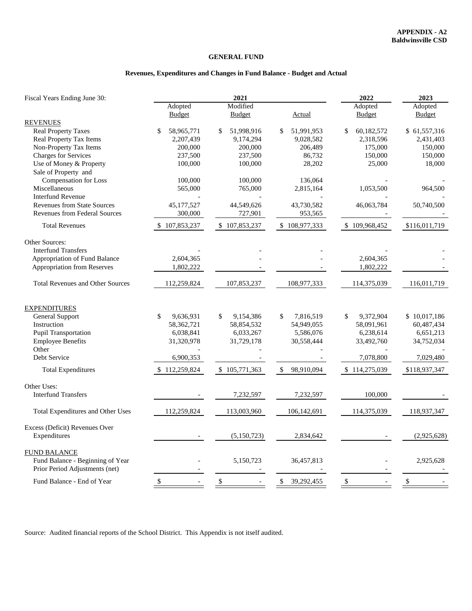# **GENERAL FUND**

# **Revenues, Expenditures and Changes in Fund Balance - Budget and Actual**

| Fiscal Years Ending June 30:                                                                                                                                      |                                                                                        | 2021                                                                      | 2022                                                                         | 2023                                                                                   |                                                                                     |
|-------------------------------------------------------------------------------------------------------------------------------------------------------------------|----------------------------------------------------------------------------------------|---------------------------------------------------------------------------|------------------------------------------------------------------------------|----------------------------------------------------------------------------------------|-------------------------------------------------------------------------------------|
|                                                                                                                                                                   | Adopted                                                                                | Modified                                                                  |                                                                              | Adopted                                                                                | Adopted                                                                             |
| <b>REVENUES</b>                                                                                                                                                   | <b>Budget</b>                                                                          | <b>Budget</b>                                                             | <b>Actual</b>                                                                | <b>Budget</b>                                                                          | <b>Budget</b>                                                                       |
| <b>Real Property Taxes</b><br><b>Real Property Tax Items</b><br>Non-Property Tax Items<br>Charges for Services<br>Use of Money & Property<br>Sale of Property and | \$<br>58,965,771<br>2,207,439<br>200,000<br>237,500<br>100,000                         | 51,998,916<br>\$<br>9,174,294<br>200,000<br>237,500<br>100,000            | \$<br>51,991,953<br>9,028,582<br>206,489<br>86,732<br>28,202                 | \$<br>60,182,572<br>2,318,596<br>175,000<br>150,000<br>25,000                          | \$61,557,316<br>2,431,403<br>150,000<br>150,000<br>18,000                           |
| Compensation for Loss<br>Miscellaneous<br><b>Interfund Revenue</b>                                                                                                | 100,000<br>565,000                                                                     | 100,000<br>765,000                                                        | 136,064<br>2,815,164                                                         | 1,053,500                                                                              | 964,500                                                                             |
| <b>Revenues from State Sources</b><br><b>Revenues from Federal Sources</b>                                                                                        | 45,177,527<br>300,000                                                                  | 44,549,626<br>727,901                                                     | 43,730,582<br>953,565                                                        | 46,063,784                                                                             | 50,740,500                                                                          |
| <b>Total Revenues</b>                                                                                                                                             | \$107,853,237                                                                          | \$107,853,237                                                             | \$108,977,333                                                                | \$109,968,452                                                                          | \$116,011,719                                                                       |
| Other Sources:<br><b>Interfund Transfers</b><br>Appropriation of Fund Balance<br>Appropriation from Reserves                                                      | 2,604,365<br>1,802,222                                                                 |                                                                           |                                                                              | 2,604,365<br>1,802,222                                                                 |                                                                                     |
| <b>Total Revenues and Other Sources</b>                                                                                                                           | 112,259,824                                                                            | 107,853,237                                                               | 108,977,333                                                                  | 114,375,039                                                                            | 116,011,719                                                                         |
| <b>EXPENDITURES</b><br>General Support<br>Instruction<br>Pupil Transportation<br><b>Employee Benefits</b><br>Other<br>Debt Service<br><b>Total Expenditures</b>   | \$<br>9,636,931<br>58,362,721<br>6,038,841<br>31,320,978<br>6,900,353<br>\$112,259,824 | \$<br>9,154,386<br>58,854,532<br>6,033,267<br>31,729,178<br>\$105,771,363 | \$<br>7,816,519<br>54,949,055<br>5,586,076<br>30,558,444<br>\$<br>98,910,094 | \$<br>9,372,904<br>58,091,961<br>6,238,614<br>33,492,760<br>7,078,800<br>\$114,275,039 | \$10,017,186<br>60,487,434<br>6,651,213<br>34,752,034<br>7,029,480<br>\$118,937,347 |
| Other Uses:<br><b>Interfund Transfers</b>                                                                                                                         |                                                                                        | 7,232,597                                                                 | 7,232,597                                                                    | 100,000                                                                                |                                                                                     |
| Total Expenditures and Other Uses                                                                                                                                 | 112,259,824                                                                            | 113,003,960                                                               | 106,142,691                                                                  | 114,375,039                                                                            | 118,937,347                                                                         |
| Excess (Deficit) Revenues Over<br>Expenditures                                                                                                                    |                                                                                        | (5,150,723)                                                               | 2,834,642                                                                    |                                                                                        | (2,925,628)                                                                         |
| <b>FUND BALANCE</b><br>Fund Balance - Beginning of Year<br>Prior Period Adjustments (net)                                                                         |                                                                                        | 5,150,723                                                                 | 36,457,813                                                                   |                                                                                        | 2,925,628                                                                           |
| Fund Balance - End of Year                                                                                                                                        | $\mathcal{S}$<br>$\overline{\phantom{a}}$                                              | $\sqrt[6]{3}$                                                             | \$<br>39,292,455                                                             | $\mathbb{S}$                                                                           | $\mathcal{S}$                                                                       |

Source: Audited financial reports of the School District. This Appendix is not itself audited.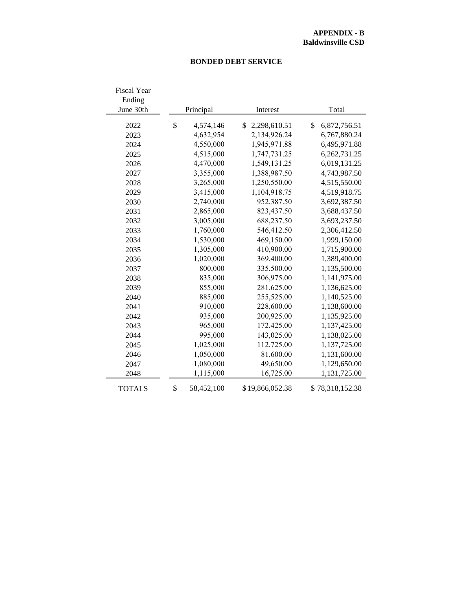# **BONDED DEBT SERVICE**

| <b>Fiscal Year</b> |                  |                    |       |                 |  |  |  |
|--------------------|------------------|--------------------|-------|-----------------|--|--|--|
| Ending             |                  |                    |       |                 |  |  |  |
| June 30th          | Principal        | Interest           | Total |                 |  |  |  |
| 2022               | \$<br>4,574,146  | 2,298,610.51<br>\$ | \$    | 6,872,756.51    |  |  |  |
| 2023               | 4,632,954        | 2,134,926.24       |       | 6,767,880.24    |  |  |  |
| 2024               | 4,550,000        | 1,945,971.88       |       | 6,495,971.88    |  |  |  |
| 2025               | 4,515,000        | 1,747,731.25       |       | 6,262,731.25    |  |  |  |
| 2026               | 4,470,000        | 1,549,131.25       |       | 6,019,131.25    |  |  |  |
| 2027               | 3,355,000        | 1,388,987.50       |       | 4,743,987.50    |  |  |  |
| 2028               | 3,265,000        | 1,250,550.00       |       | 4,515,550.00    |  |  |  |
| 2029               | 3,415,000        | 1,104,918.75       |       | 4,519,918.75    |  |  |  |
| 2030               | 2,740,000        | 952,387.50         |       | 3,692,387.50    |  |  |  |
| 2031               | 2,865,000        | 823,437.50         |       | 3,688,437.50    |  |  |  |
| 2032               | 3,005,000        | 688,237.50         |       | 3,693,237.50    |  |  |  |
| 2033               | 1,760,000        | 546,412.50         |       | 2,306,412.50    |  |  |  |
| 2034               | 1,530,000        | 469,150.00         |       | 1,999,150.00    |  |  |  |
| 2035               | 1,305,000        | 410,900.00         |       | 1,715,900.00    |  |  |  |
| 2036               | 1,020,000        | 369,400.00         |       | 1,389,400.00    |  |  |  |
| 2037               | 800,000          | 335,500.00         |       | 1,135,500.00    |  |  |  |
| 2038               | 835,000          | 306,975.00         |       | 1,141,975.00    |  |  |  |
| 2039               | 855,000          | 281,625.00         |       | 1,136,625.00    |  |  |  |
| 2040               | 885,000          | 255,525.00         |       | 1,140,525.00    |  |  |  |
| 2041               | 910,000          | 228,600.00         |       | 1,138,600.00    |  |  |  |
| 2042               | 935,000          | 200,925.00         |       | 1,135,925.00    |  |  |  |
| 2043               | 965,000          | 172,425.00         |       | 1,137,425.00    |  |  |  |
| 2044               | 995,000          | 143,025.00         |       | 1,138,025.00    |  |  |  |
| 2045               | 1,025,000        | 112,725.00         |       | 1,137,725.00    |  |  |  |
| 2046               | 1,050,000        | 81,600.00          |       | 1,131,600.00    |  |  |  |
| 2047               | 1,080,000        | 49,650.00          |       | 1,129,650.00    |  |  |  |
| 2048               | 1,115,000        | 16,725.00          |       | 1,131,725.00    |  |  |  |
| <b>TOTALS</b>      | \$<br>58,452,100 | \$19,866,052.38    |       | \$78,318,152.38 |  |  |  |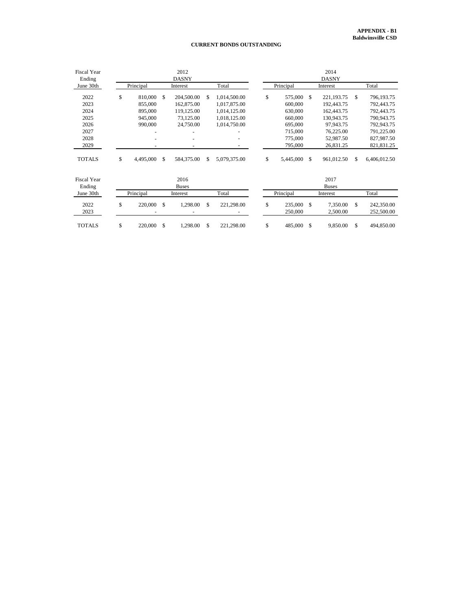#### **CURRENT BONDS OUTSTANDING**

| <b>Fiscal Year</b><br>Ending |                 |     | 2012                 | <b>DASNY</b> |              |    | 2014<br><b>DASNY</b> |               |                      |     |                          |  |  |
|------------------------------|-----------------|-----|----------------------|--------------|--------------|----|----------------------|---------------|----------------------|-----|--------------------------|--|--|
| June 30th                    | Principal       |     | Interest             |              | Total        |    | Principal            |               | Interest             |     | Total                    |  |  |
| 2022                         | \$<br>810,000   | \$  | 204,500.00           | \$.          | 1,014,500.00 | \$ | 575,000              | -S            | 221,193.75           | \$. | 796,193.75               |  |  |
| 2023                         | 855,000         |     | 162,875.00           |              | 1,017,875.00 |    | 600,000              |               | 192,443.75           |     | 792,443.75               |  |  |
| 2024                         | 895,000         |     | 119,125.00           |              | 1,014,125.00 |    | 630,000              |               | 162,443.75           |     | 792,443.75               |  |  |
| 2025                         | 945,000         |     | 73,125.00            |              | 1,018,125.00 |    | 660,000              |               | 130,943.75           |     | 790,943.75               |  |  |
| 2026                         | 990,000         |     | 24,750.00            |              | 1,014,750.00 |    | 695,000              |               | 97,943.75            |     | 792,943.75               |  |  |
| 2027                         |                 |     |                      |              |              |    | 715,000              |               | 76,225.00            |     | 791,225.00               |  |  |
| 2028                         |                 |     |                      |              | ٠            |    | 775,000              |               | 52,987.50            |     | 827,987.50               |  |  |
| 2029                         |                 |     |                      |              |              |    | 795,000              |               | 26,831.25            |     | 821,831.25               |  |  |
| <b>TOTALS</b>                | \$<br>4,495,000 | \$  | 584,375.00           | \$           | 5,079,375.00 | \$ | 5,445,000            | <sup>\$</sup> | 961,012.50           | \$  | 6,406,012.50             |  |  |
| <b>Fiscal Year</b><br>Ending |                 |     | 2016<br><b>Buses</b> |              |              |    |                      |               | 2017<br><b>Buses</b> |     |                          |  |  |
| June 30th                    | Principal       |     | Interest             |              | Total        |    | Principal            |               | Interest             |     | Total                    |  |  |
| 2022<br>2023                 | \$<br>220,000   | \$. | 1,298.00             | \$.          | 221,298.00   | \$ | 235,000<br>250,000   | <sup>\$</sup> | 7,350.00<br>2,500.00 | \$. | 242,350.00<br>252,500.00 |  |  |
| <b>TOTALS</b>                | \$<br>220,000   | \$  | 1,298.00             | \$           | 221,298.00   | \$ | 485,000              | S.            | 9,850.00             | \$  | 494,850.00               |  |  |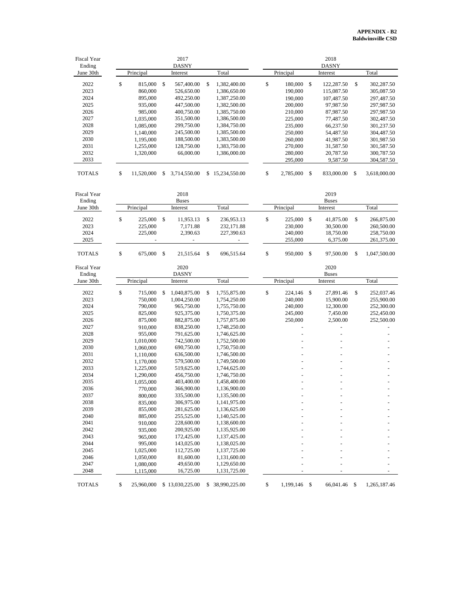| <b>Fiscal Year</b><br>Ending |                  |               | 2017<br><b>DASNY</b> |                    |                  |      | 2018<br><b>DASNY</b> |    |              |
|------------------------------|------------------|---------------|----------------------|--------------------|------------------|------|----------------------|----|--------------|
| June 30th                    | Principal        |               | Interest             | Total              | Principal        |      | Interest             |    | Total        |
| 2022                         | \$<br>815,000    | \$            | 567,400.00           | \$<br>1,382,400.00 | \$<br>180,000 \$ |      | 122,287.50           | \$ | 302,287.50   |
| 2023                         | 860,000          |               | 526,650.00           | 1,386,650.00       | 190,000          |      | 115,087.50           |    | 305,087.50   |
| 2024                         | 895,000          |               | 492,250.00           | 1,387,250.00       | 190,000          |      | 107,487.50           |    | 297,487.50   |
| 2025                         | 935,000          |               | 447,500.00           | 1,382,500.00       | 200,000          |      | 97,987.50            |    | 297,987.50   |
| 2026                         | 985,000          |               | 400,750.00           | 1,385,750.00       | 210,000          |      | 87,987.50            |    | 297,987.50   |
| 2027                         | 1,035,000        |               | 351,500.00           | 1,386,500.00       | 225,000          |      | 77,487.50            |    | 302,487.50   |
| 2028                         | 1,085,000        |               | 299,750.00           | 1,384,750.00       | 235,000          |      | 66,237.50            |    | 301,237.50   |
| 2029                         | 1,140,000        |               | 245,500.00           | 1,385,500.00       | 250,000          |      | 54,487.50            |    | 304,487.50   |
| 2030                         |                  |               | 188,500.00           | 1,383,500.00       |                  |      |                      |    | 301,987.50   |
| 2031                         | 1,195,000        |               | 128,750.00           | 1,383,750.00       | 260,000          |      | 41,987.50            |    |              |
| 2032                         | 1,255,000        |               | 66,000.00            |                    | 270,000          |      | 31,587.50            |    | 301,587.50   |
| 2033                         | 1,320,000        |               |                      | 1,386,000.00       | 280,000          |      | 20,787.50            |    | 300,787.50   |
|                              |                  |               |                      |                    | 295,000          |      | 9,587.50             |    | 304,587.50   |
| <b>TOTALS</b>                | \$<br>11,520,000 | \$            | 3,714,550.00         | \$15,234,550.00    | \$<br>2,785,000  | \$   | 833,000.00           | -S | 3,618,000.00 |
| Fiscal Year                  |                  |               | 2018                 |                    |                  |      | 2019                 |    |              |
| Ending                       |                  |               | <b>Buses</b>         |                    |                  |      | <b>Buses</b>         |    |              |
| June 30th                    | Principal        |               | Interest             | Total              | Principal        |      | Interest             |    | Total        |
| 2022                         | \$<br>225,000    | <sup>\$</sup> | 11,953.13            | \$<br>236,953.13   | \$<br>225,000    | - \$ | 41,875.00            | \$ | 266,875.00   |
| 2023                         | 225,000          |               | 7,171.88             | 232,171.88         | 230,000          |      | 30,500.00            |    | 260,500.00   |
| 2024                         | 225,000          |               | 2,390.63             | 227,390.63         | 240,000          |      | 18,750.00            |    | 258,750.00   |
| 2025                         |                  |               |                      |                    | 255,000          |      | 6,375.00             |    | 261,375.00   |
| <b>TOTALS</b>                | \$<br>675,000    | - \$          | 21,515.64            | \$<br>696,515.64   | \$<br>950,000    | \$   | 97,500.00            | \$ | 1,047,500.00 |
| Fiscal Year                  |                  |               | 2020                 |                    |                  |      | 2020                 |    |              |
| Ending                       |                  |               | <b>DASNY</b>         |                    |                  |      | <b>Buses</b>         |    |              |
| June 30th                    | Principal        |               | Interest             | Total              | Principal        |      | Interest             |    | Total        |
| 2022                         | \$<br>715,000    | \$            | 1,040,875.00         | \$<br>1,755,875.00 | \$<br>224,146 \$ |      | 27,891.46            | \$ | 252,037.46   |
| 2023                         | 750,000          |               | 1,004,250.00         | 1,754,250.00       | 240,000          |      | 15,900.00            |    | 255,900.00   |
| 2024                         | 790,000          |               | 965,750.00           | 1,755,750.00       | 240,000          |      | 12,300.00            |    | 252,300.00   |
| 2025                         | 825,000          |               | 925,375.00           | 1,750,375.00       | 245,000          |      | 7,450.00             |    | 252,450.00   |
| 2026                         | 875,000          |               | 882,875.00           | 1,757,875.00       | 250,000          |      | 2,500.00             |    | 252,500.00   |
| 2027                         | 910,000          |               | 838,250.00           | 1,748,250.00       |                  |      |                      |    |              |
| 2028                         | 955,000          |               | 791,625.00           | 1,746,625.00       |                  |      |                      |    |              |
| 2029                         | 1,010,000        |               | 742,500.00           | 1,752,500.00       |                  |      |                      |    |              |
| 2030                         | 1,060,000        |               | 690,750.00           | 1,750,750.00       |                  |      |                      |    |              |
| 2031                         | 1,110,000        |               | 636,500.00           | 1,746,500.00       |                  |      |                      |    |              |
| 2032                         | 1,170,000        |               | 579,500.00           | 1,749,500.00       |                  |      |                      |    |              |
| 2033                         | 1,225,000        |               | 519,625.00           | 1,744,625.00       |                  |      |                      |    |              |
| 2034                         | 1,290,000        |               | 456,750.00           | 1,746,750.00       |                  |      |                      |    |              |
| 2035                         | 1,055,000        |               | 403,400.00           | 1,458,400.00       |                  |      |                      |    |              |
| 2036                         | 770,000          |               | 366,900.00           | 1,136,900.00       |                  |      |                      |    |              |
| 2037                         | 800,000          |               | 335,500.00           | 1,135,500.00       |                  |      |                      |    |              |
| 2038                         | 835,000          |               | 306,975.00           | 1,141,975.00       |                  |      |                      |    |              |
| 2039                         | 855,000          |               | 281,625.00           | 1,136,625.00       |                  |      |                      |    |              |
| 2040                         | 885,000          |               | 255,525.00           | 1,140,525.00       |                  |      |                      |    |              |
| 2041                         | 910,000          |               | 228,600.00           | 1,138,600.00       |                  |      |                      |    |              |
| 2042                         | 935,000          |               | 200,925.00           | 1,135,925.00       |                  |      |                      |    |              |
| 2043                         | 965,000          |               | 172,425.00           | 1,137,425.00       |                  |      |                      |    |              |
| 2044                         | 995,000          |               | 143,025.00           | 1,138,025.00       |                  |      |                      |    |              |
| 2045                         | 1,025,000        |               | 112,725.00           | 1,137,725.00       |                  |      |                      |    |              |
| 2046                         | 1,050,000        |               | 81,600.00            | 1,131,600.00       |                  |      |                      |    |              |
| 2047                         | 1,080,000        |               | 49,650.00            | 1,129,650.00       |                  |      |                      |    |              |
| 2048                         | 1,115,000        |               | 16,725.00            | 1,131,725.00       |                  |      |                      |    |              |
| <b>TOTALS</b>                | \$<br>25,960,000 |               | \$13,030,225.00      | \$ 38,990,225.00   | \$<br>1,199,146  | \$   | 66,041.46            | \$ | 1,265,187.46 |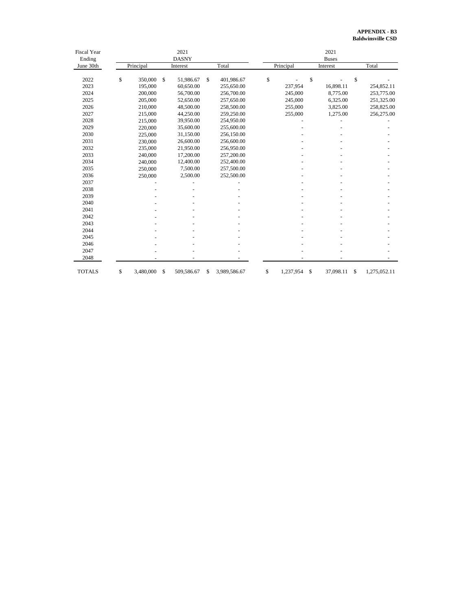# **APPENDIX - B3 Baldwinsville CSD**

| <b>Fiscal Year</b> | 2021         |           |    |            |    |              |    | 2021         |    |           |    |              |  |  |
|--------------------|--------------|-----------|----|------------|----|--------------|----|--------------|----|-----------|----|--------------|--|--|
| Ending             | <b>DASNY</b> |           |    |            |    |              |    | <b>Buses</b> |    |           |    |              |  |  |
| June 30th          |              | Principal |    | Interest   |    | Total        |    | Principal    |    | Interest  |    | Total        |  |  |
|                    |              |           |    |            |    |              |    |              |    |           |    |              |  |  |
| 2022               | \$           | 350,000   | \$ | 51,986.67  | \$ | 401,986.67   | \$ |              | \$ |           | \$ |              |  |  |
| 2023               |              | 195,000   |    | 60,650.00  |    | 255,650.00   |    | 237,954      |    | 16,898.11 |    | 254,852.11   |  |  |
| 2024               |              | 200,000   |    | 56,700.00  |    | 256,700.00   |    | 245,000      |    | 8,775.00  |    | 253,775.00   |  |  |
| 2025               |              | 205,000   |    | 52,650.00  |    | 257,650.00   |    | 245,000      |    | 6,325.00  |    | 251,325.00   |  |  |
| 2026               |              | 210,000   |    | 48,500.00  |    | 258,500.00   |    | 255,000      |    | 3,825.00  |    | 258,825.00   |  |  |
| 2027               |              | 215,000   |    | 44,250.00  |    | 259,250.00   |    | 255,000      |    | 1,275.00  |    | 256,275.00   |  |  |
| 2028               |              | 215,000   |    | 39,950.00  |    | 254,950.00   |    |              |    |           |    |              |  |  |
| 2029               |              | 220,000   |    | 35,600.00  |    | 255,600.00   |    |              |    |           |    |              |  |  |
| 2030               |              | 225,000   |    | 31,150.00  |    | 256,150.00   |    |              |    |           |    |              |  |  |
| 2031               |              | 230,000   |    | 26,600.00  |    | 256,600.00   |    |              |    |           |    |              |  |  |
| 2032               |              | 235,000   |    | 21,950.00  |    | 256,950.00   |    |              |    |           |    |              |  |  |
| 2033               |              | 240,000   |    | 17,200.00  |    | 257,200.00   |    |              |    |           |    |              |  |  |
| 2034               |              | 240,000   |    | 12,400.00  |    | 252,400.00   |    |              |    |           |    |              |  |  |
| 2035               |              | 250,000   |    | 7,500.00   |    | 257,500.00   |    |              |    |           |    |              |  |  |
| 2036               |              | 250,000   |    | 2,500.00   |    | 252,500.00   |    |              |    |           |    |              |  |  |
| 2037               |              |           |    |            |    |              |    |              |    |           |    |              |  |  |
| 2038               |              |           |    |            |    |              |    |              |    |           |    |              |  |  |
| 2039               |              |           |    |            |    |              |    |              |    |           |    |              |  |  |
| 2040               |              |           |    |            |    |              |    |              |    |           |    |              |  |  |
| 2041               |              |           |    |            |    |              |    |              |    |           |    |              |  |  |
| 2042               |              |           |    |            |    |              |    |              |    |           |    |              |  |  |
| 2043               |              |           |    |            |    |              |    |              |    |           |    |              |  |  |
| 2044               |              |           |    |            |    |              |    |              |    |           |    |              |  |  |
| 2045               |              |           |    |            |    |              |    |              |    |           |    |              |  |  |
| 2046               |              |           |    |            |    |              |    |              |    |           |    |              |  |  |
| 2047               |              |           |    |            |    |              |    |              |    |           |    |              |  |  |
| 2048               |              |           |    |            |    |              |    |              |    |           |    |              |  |  |
| <b>TOTALS</b>      | \$           | 3,480,000 | \$ | 509,586.67 | \$ | 3,989,586.67 | \$ | 1,237,954    | \$ | 37,098.11 | \$ | 1,275,052.11 |  |  |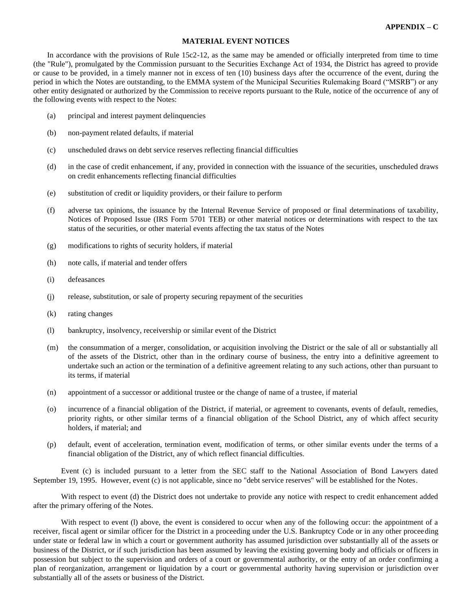# **MATERIAL EVENT NOTICES**

In accordance with the provisions of Rule 15c2-12, as the same may be amended or officially interpreted from time to time (the "Rule"), promulgated by the Commission pursuant to the Securities Exchange Act of 1934, the District has agreed to provide or cause to be provided, in a timely manner not in excess of ten (10) business days after the occurrence of the event, during the period in which the Notes are outstanding, to the EMMA system of the Municipal Securities Rulemaking Board ("MSRB") or any other entity designated or authorized by the Commission to receive reports pursuant to the Rule, notice of the occurrence of any of the following events with respect to the Notes:

- (a) principal and interest payment delinquencies
- (b) non-payment related defaults, if material
- (c) unscheduled draws on debt service reserves reflecting financial difficulties
- (d) in the case of credit enhancement, if any, provided in connection with the issuance of the securities, unscheduled draws on credit enhancements reflecting financial difficulties
- (e) substitution of credit or liquidity providers, or their failure to perform
- (f) adverse tax opinions, the issuance by the Internal Revenue Service of proposed or final determinations of taxability, Notices of Proposed Issue (IRS Form 5701 TEB) or other material notices or determinations with respect to the tax status of the securities, or other material events affecting the tax status of the Notes
- (g) modifications to rights of security holders, if material
- (h) note calls, if material and tender offers
- (i) defeasances
- (j) release, substitution, or sale of property securing repayment of the securities
- (k) rating changes
- (l) bankruptcy, insolvency, receivership or similar event of the District
- (m) the consummation of a merger, consolidation, or acquisition involving the District or the sale of all or substantially all of the assets of the District, other than in the ordinary course of business, the entry into a definitive agreement to undertake such an action or the termination of a definitive agreement relating to any such actions, other than pursuant to its terms, if material
- (n) appointment of a successor or additional trustee or the change of name of a trustee, if material
- (o) incurrence of a financial obligation of the District, if material, or agreement to covenants, events of default, remedies, priority rights, or other similar terms of a financial obligation of the School District, any of which affect security holders, if material; and
- (p) default, event of acceleration, termination event, modification of terms, or other similar events under the terms of a financial obligation of the District, any of which reflect financial difficulties.

Event (c) is included pursuant to a letter from the SEC staff to the National Association of Bond Lawyers dated September 19, 1995. However, event (c) is not applicable, since no "debt service reserves" will be established for the Notes.

With respect to event (d) the District does not undertake to provide any notice with respect to credit enhancement added after the primary offering of the Notes.

With respect to event (I) above, the event is considered to occur when any of the following occur: the appointment of a receiver, fiscal agent or similar officer for the District in a proceeding under the U.S. Bankruptcy Code or in any other proceeding under state or federal law in which a court or government authority has assumed jurisdiction over substantially all of the assets or business of the District, or if such jurisdiction has been assumed by leaving the existing governing body and officials or officers in possession but subject to the supervision and orders of a court or governmental authority, or the entry of an order confirming a plan of reorganization, arrangement or liquidation by a court or governmental authority having supervision or jurisdiction over substantially all of the assets or business of the District.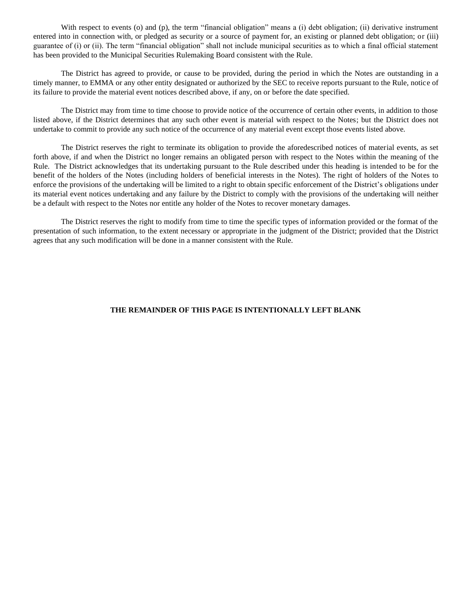With respect to events (o) and (p), the term "financial obligation" means a (i) debt obligation; (ii) derivative instrument entered into in connection with, or pledged as security or a source of payment for, an existing or planned debt obligation; or (iii) guarantee of (i) or (ii). The term "financial obligation" shall not include municipal securities as to which a final official statement has been provided to the Municipal Securities Rulemaking Board consistent with the Rule.

The District has agreed to provide, or cause to be provided, during the period in which the Notes are outstanding in a timely manner, to EMMA or any other entity designated or authorized by the SEC to receive reports pursuant to the Rule, notice of its failure to provide the material event notices described above, if any, on or before the date specified.

The District may from time to time choose to provide notice of the occurrence of certain other events, in addition to those listed above, if the District determines that any such other event is material with respect to the Notes; but the District does not undertake to commit to provide any such notice of the occurrence of any material event except those events listed above.

The District reserves the right to terminate its obligation to provide the aforedescribed notices of material events, as set forth above, if and when the District no longer remains an obligated person with respect to the Notes within the meaning of the Rule. The District acknowledges that its undertaking pursuant to the Rule described under this heading is intended to be for the benefit of the holders of the Notes (including holders of beneficial interests in the Notes). The right of holders of the Notes to enforce the provisions of the undertaking will be limited to a right to obtain specific enforcement of the District's obligations under its material event notices undertaking and any failure by the District to comply with the provisions of the undertaking will neither be a default with respect to the Notes nor entitle any holder of the Notes to recover monetary damages.

The District reserves the right to modify from time to time the specific types of information provided or the format of the presentation of such information, to the extent necessary or appropriate in the judgment of the District; provided that the District agrees that any such modification will be done in a manner consistent with the Rule.

# **THE REMAINDER OF THIS PAGE IS INTENTIONALLY LEFT BLANK**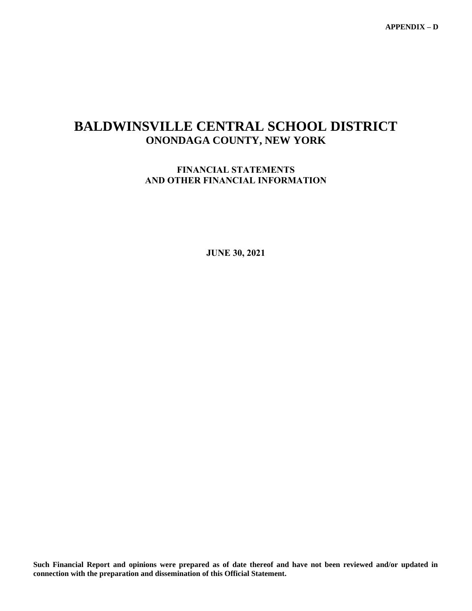**APPENDIX – D**

# **BALDWINSVILLE CENTRAL SCHOOL DISTRICT ONONDAGA COUNTY, NEW YORK**

# **FINANCIAL STATEMENTS AND OTHER FINANCIAL INFORMATION**

**JUNE 30, 2021**

**Such Financial Report and opinions were prepared as of date thereof and have not been reviewed and/or updated in connection with the preparation and dissemination of this Official Statement.**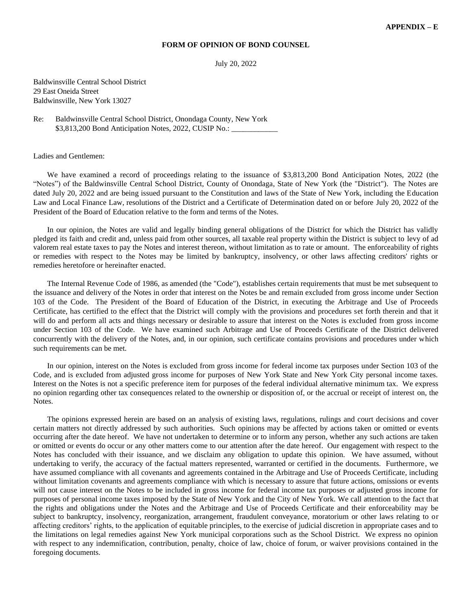# **FORM OF OPINION OF BOND COUNSEL**

July 20, 2022

Baldwinsville Central School District 29 East Oneida Street Baldwinsville, New York 13027

Re: Baldwinsville Central School District, Onondaga County, New York \$3,813,200 Bond Anticipation Notes, 2022, CUSIP No.:

Ladies and Gentlemen:

We have examined a record of proceedings relating to the issuance of \$3,813,200 Bond Anticipation Notes, 2022 (the "Notes") of the Baldwinsville Central School District, County of Onondaga, State of New York (the "District"). The Notes are dated July 20, 2022 and are being issued pursuant to the Constitution and laws of the State of New York, including the Education Law and Local Finance Law, resolutions of the District and a Certificate of Determination dated on or before July 20, 2022 of the President of the Board of Education relative to the form and terms of the Notes.

In our opinion, the Notes are valid and legally binding general obligations of the District for which the District has validly pledged its faith and credit and, unless paid from other sources, all taxable real property within the District is subject to levy of ad valorem real estate taxes to pay the Notes and interest thereon, without limitation as to rate or amount. The enforceability of rights or remedies with respect to the Notes may be limited by bankruptcy, insolvency, or other laws affecting creditors' rights or remedies heretofore or hereinafter enacted.

The Internal Revenue Code of 1986, as amended (the "Code"), establishes certain requirements that must be met subsequent to the issuance and delivery of the Notes in order that interest on the Notes be and remain excluded from gross income under Section 103 of the Code. The President of the Board of Education of the District, in executing the Arbitrage and Use of Proceeds Certificate, has certified to the effect that the District will comply with the provisions and procedures set forth therein and that it will do and perform all acts and things necessary or desirable to assure that interest on the Notes is excluded from gross income under Section 103 of the Code. We have examined such Arbitrage and Use of Proceeds Certificate of the District delivered concurrently with the delivery of the Notes, and, in our opinion, such certificate contains provisions and procedures under which such requirements can be met.

In our opinion, interest on the Notes is excluded from gross income for federal income tax purposes under Section 103 of the Code, and is excluded from adjusted gross income for purposes of New York State and New York City personal income taxes. Interest on the Notes is not a specific preference item for purposes of the federal individual alternative minimum tax. We express no opinion regarding other tax consequences related to the ownership or disposition of, or the accrual or receipt of interest on, the Notes.

The opinions expressed herein are based on an analysis of existing laws, regulations, rulings and court decisions and cover certain matters not directly addressed by such authorities. Such opinions may be affected by actions taken or omitted or events occurring after the date hereof. We have not undertaken to determine or to inform any person, whether any such actions are taken or omitted or events do occur or any other matters come to our attention after the date hereof. Our engagement with respect to the Notes has concluded with their issuance, and we disclaim any obligation to update this opinion. We have assumed, without undertaking to verify, the accuracy of the factual matters represented, warranted or certified in the documents. Furthermore, we have assumed compliance with all covenants and agreements contained in the Arbitrage and Use of Proceeds Certificate, including without limitation covenants and agreements compliance with which is necessary to assure that future actions, omissions or events will not cause interest on the Notes to be included in gross income for federal income tax purposes or adjusted gross income for purposes of personal income taxes imposed by the State of New York and the City of New York. We call attention to the fact that the rights and obligations under the Notes and the Arbitrage and Use of Proceeds Certificate and their enforceability may be subject to bankruptcy, insolvency, reorganization, arrangement, fraudulent conveyance, moratorium or other laws relating to or affecting creditors' rights, to the application of equitable principles, to the exercise of judicial discretion in appropriate cases and to the limitations on legal remedies against New York municipal corporations such as the School District. We express no opinion with respect to any indemnification, contribution, penalty, choice of law, choice of forum, or waiver provisions contained in the foregoing documents.